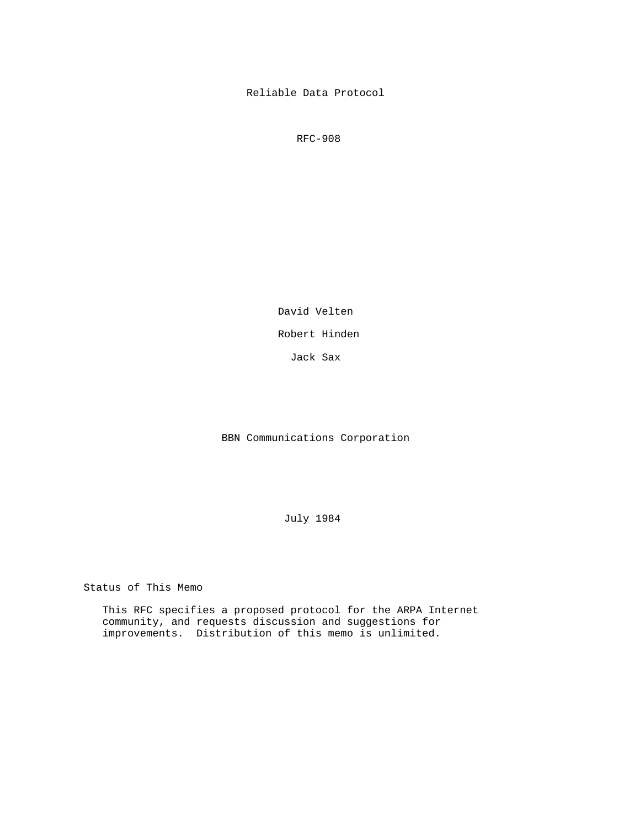Reliable Data Protocol

RFC-908

David Velten

Robert Hinden

Jack Sax

BBN Communications Corporation

July 1984

Status of This Memo

 This RFC specifies a proposed protocol for the ARPA Internet community, and requests discussion and suggestions for improvements. Distribution of this memo is unlimited.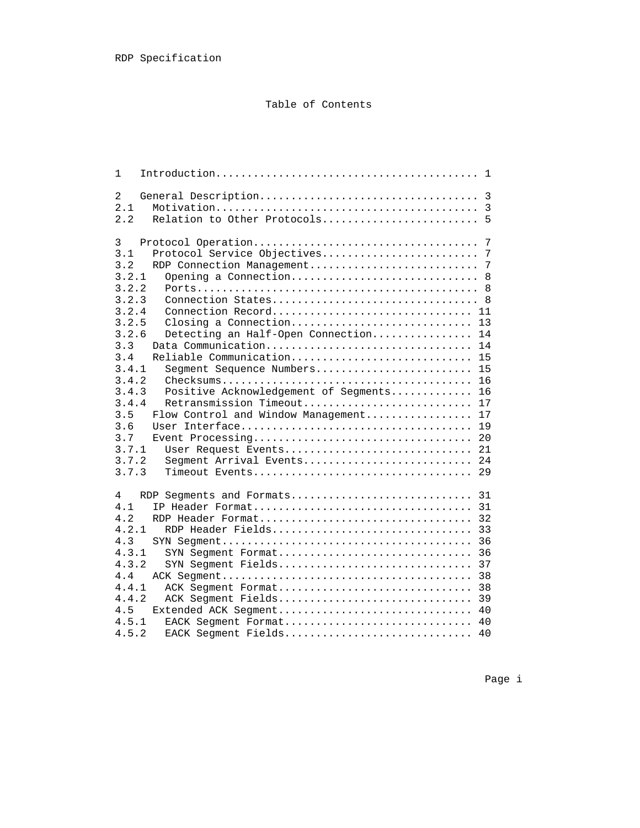# Table of Contents

| 1                                                   |
|-----------------------------------------------------|
| $\overline{2}$                                      |
| 2.1                                                 |
| 2.2<br>Relation to Other Protocols 5                |
|                                                     |
| 3<br>7                                              |
| 3.1                                                 |
| 3.2                                                 |
| 3.2.1<br>Opening a Connection 8                     |
| 3.2.2                                               |
| 3.2.3                                               |
| 3.2.4                                               |
| 3.2.5                                               |
| 3.2.6<br>Detecting an Half-Open Connection 14       |
| 3.3<br>Data Communication<br>14                     |
| 3.4<br>Reliable Communication<br>15                 |
| 3.4.1<br>Segment Sequence Numbers<br>15             |
| 3.4.2<br>16                                         |
| 3.4.3<br>Positive Acknowledgement of Segments<br>16 |
| 3.4.4<br>Retransmission Timeout<br>17               |
| 3.5<br>Flow Control and Window Management<br>17     |
| 3.6<br>19                                           |
| 3.7<br>20                                           |
| 3.7.1<br>User Request Events<br>21                  |
| 3.7.2<br>Seqment Arrival Events<br>24               |
| 3.7.3<br>Timeout Events<br>29                       |
|                                                     |
| RDP Seqments and Formats<br>31<br>4                 |
| 4.1                                                 |
| 4.2<br>RDP Header Format<br>32                      |
| 4.2.1<br>RDP Header Fields<br>33                    |
| 4.3<br>36                                           |
| 4.3.1<br>SYN Segment Format<br>36                   |
| 4.3.2<br>SYN Seqment Fields<br>37                   |
| 4.4<br>38                                           |
| 4.4.1<br>38<br>ACK Segment Format                   |
| 4.4.2<br>ACK Segment Fields<br>39                   |
| 4.5<br>40<br>Extended ACK Segment                   |
| 4.5.1<br>EACK Segment Format<br>40                  |
| 4.5.2<br>EACK Segment Fields<br>40                  |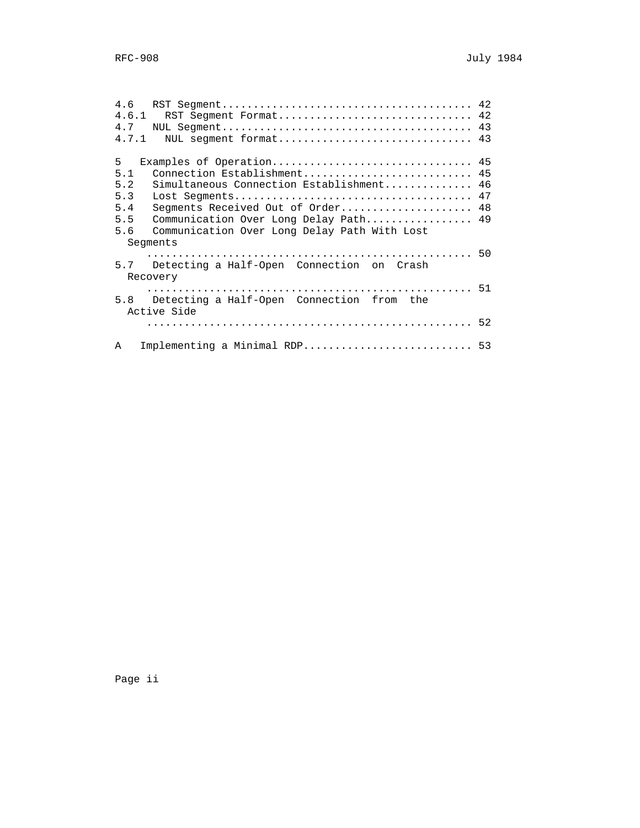| 4.6   |                                              |  |
|-------|----------------------------------------------|--|
| 4.6.1 | RST Segment Format 42                        |  |
| 4.7   |                                              |  |
| 4.7.1 | NUL seqment format 43                        |  |
| 5     | Examples of Operation 45                     |  |
| 5.1   | Connection Establishment 45                  |  |
| 5.2   | Simultaneous Connection Establishment 46     |  |
| 5.3   |                                              |  |
| 5.4   | Segments Received Out of Order 48            |  |
| 5.5   | Communication Over Long Delay Path 49        |  |
| 5.6   | Communication Over Long Delay Path With Lost |  |
|       | Seqments                                     |  |
|       |                                              |  |
| 5.7   | Detecting a Half-Open Connection on Crash    |  |
|       | Recovery                                     |  |
|       |                                              |  |
| 5.8   | Detecting a Half-Open Connection from the    |  |
|       | Active Side                                  |  |
|       |                                              |  |
|       |                                              |  |
| Α     | Implementing a Minimal RDP 53                |  |
|       |                                              |  |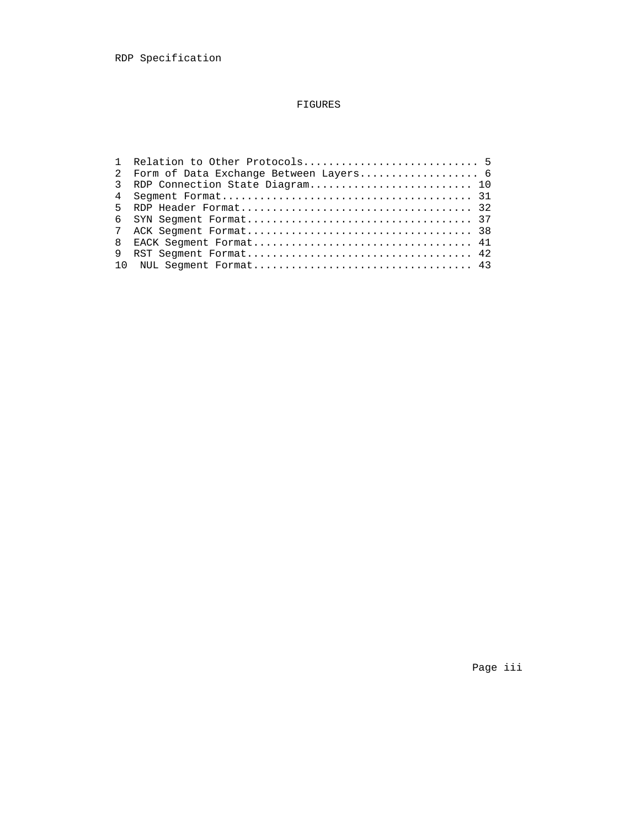# FIGURES

| $2^{\circ}$ | Form of Data Exchange Between Layers 6 |  |
|-------------|----------------------------------------|--|
| 3           | RDP Connection State Diagram 10        |  |
|             |                                        |  |
|             |                                        |  |
|             |                                        |  |
|             |                                        |  |
| 8           | EACK Seqment Format 41                 |  |
|             |                                        |  |
|             |                                        |  |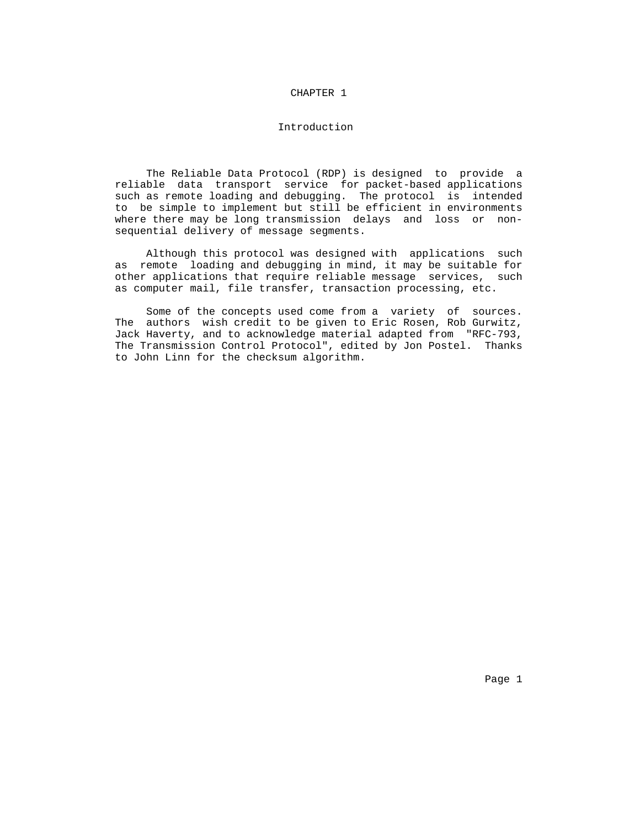#### CHAPTER 1

## Introduction

 The Reliable Data Protocol (RDP) is designed to provide a reliable data transport service for packet-based applications such as remote loading and debugging. The protocol is intended to be simple to implement but still be efficient in environments where there may be long transmission delays and loss or non sequential delivery of message segments.

 Although this protocol was designed with applications such as remote loading and debugging in mind, it may be suitable for other applications that require reliable message services, such as computer mail, file transfer, transaction processing, etc.

 Some of the concepts used come from a variety of sources. The authors wish credit to be given to Eric Rosen, Rob Gurwitz, Jack Haverty, and to acknowledge material adapted from "RFC-793, The Transmission Control Protocol", edited by Jon Postel. Thanks to John Linn for the checksum algorithm.

Page 1 and 2012 12:00 the contract of the contract of the contract of the contract of the contract of the contract of the contract of the contract of the contract of the contract of the contract of the contract of the cont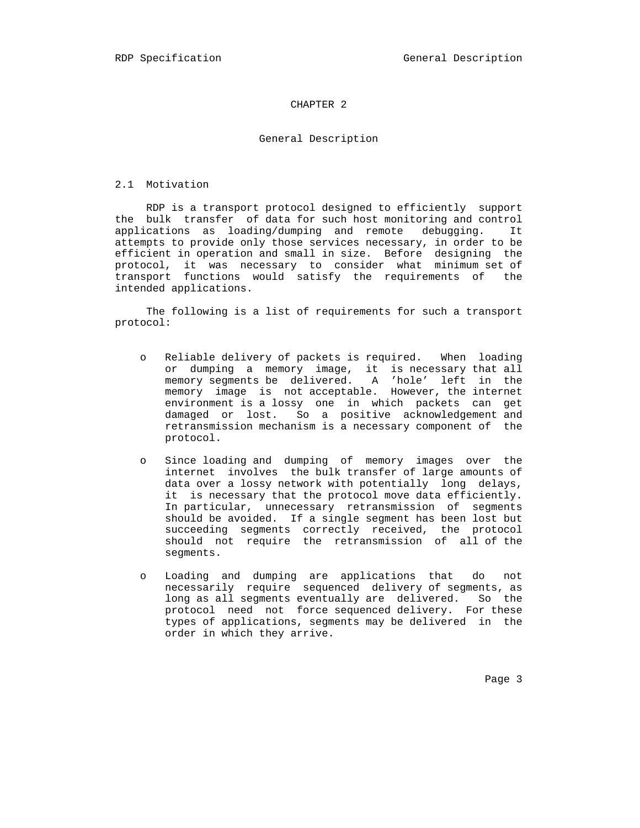## CHAPTER 2

#### General Description

#### 2.1 Motivation

 RDP is a transport protocol designed to efficiently support the bulk transfer of data for such host monitoring and control applications as loading/dumping and remote debugging. It attempts to provide only those services necessary, in order to be efficient in operation and small in size. Before designing the protocol, it was necessary to consider what minimum set of transport functions would satisfy the requirements of the intended applications.

 The following is a list of requirements for such a transport protocol:

- o Reliable delivery of packets is required. When loading or dumping a memory image, it is necessary that all memory segments be delivered. A 'hole' left in the memory image is not acceptable. However, the internet environment is a lossy one in which packets can get damaged or lost. So a positive acknowledgement and retransmission mechanism is a necessary component of the protocol.
	- o Since loading and dumping of memory images over the internet involves the bulk transfer of large amounts of data over a lossy network with potentially long delays, it is necessary that the protocol move data efficiently. In particular, unnecessary retransmission of segments should be avoided. If a single segment has been lost but succeeding segments correctly received, the protocol should not require the retransmission of all of the segments.
	- o Loading and dumping are applications that do not necessarily require sequenced delivery of segments, as long as all segments eventually are delivered. So the protocol need not force sequenced delivery. For these types of applications, segments may be delivered in the order in which they arrive.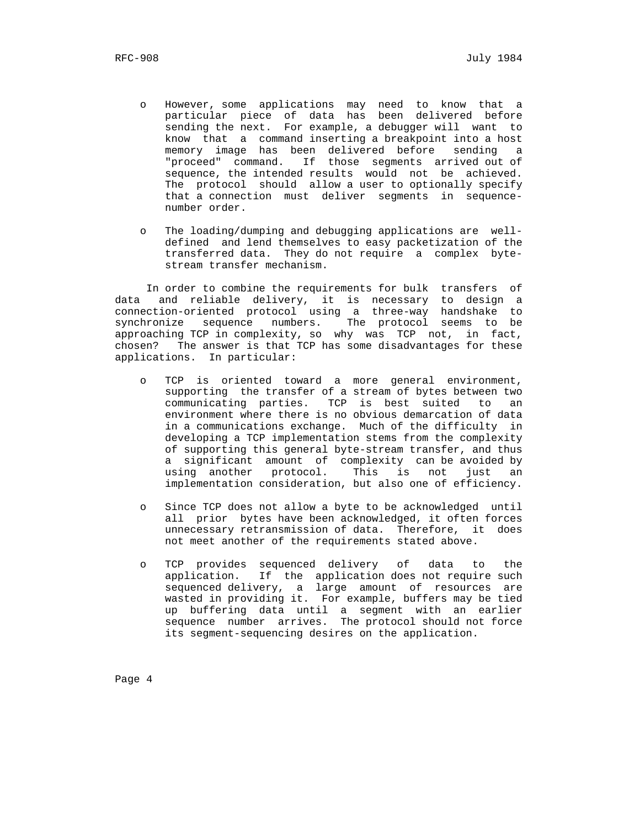- o However, some applications may need to know that a particular piece of data has been delivered before sending the next. For example, a debugger will want to know that a command inserting a breakpoint into a host memory image has been delivered before sending a "proceed" command. If those segments arrived out of sequence, the intended results would not be achieved. The protocol should allow a user to optionally specify that a connection must deliver segments in sequence number order.
	- o The loading/dumping and debugging applications are well defined and lend themselves to easy packetization of the transferred data. They do not require a complex byte stream transfer mechanism.

 In order to combine the requirements for bulk transfers of data and reliable delivery, it is necessary to design a connection-oriented protocol using a three-way handshake to synchronize sequence numbers. The protocol seems to be approaching TCP in complexity, so why was TCP not, in fact, chosen? The answer is that TCP has some disadvantages for these applications. In particular:

- o TCP is oriented toward a more general environment, supporting the transfer of a stream of bytes between two communicating parties. TCP is best suited to an environment where there is no obvious demarcation of data in a communications exchange. Much of the difficulty in developing a TCP implementation stems from the complexity of supporting this general byte-stream transfer, and thus a significant amount of complexity can be avoided by using another protocol. This is not just an implementation consideration, but also one of efficiency.
- o Since TCP does not allow a byte to be acknowledged until all prior bytes have been acknowledged, it often forces unnecessary retransmission of data. Therefore, it does not meet another of the requirements stated above.
- o TCP provides sequenced delivery of data to the application. If the application does not require such sequenced delivery, a large amount of resources are wasted in providing it. For example, buffers may be tied up buffering data until a segment with an earlier sequence number arrives. The protocol should not force its segment-sequencing desires on the application.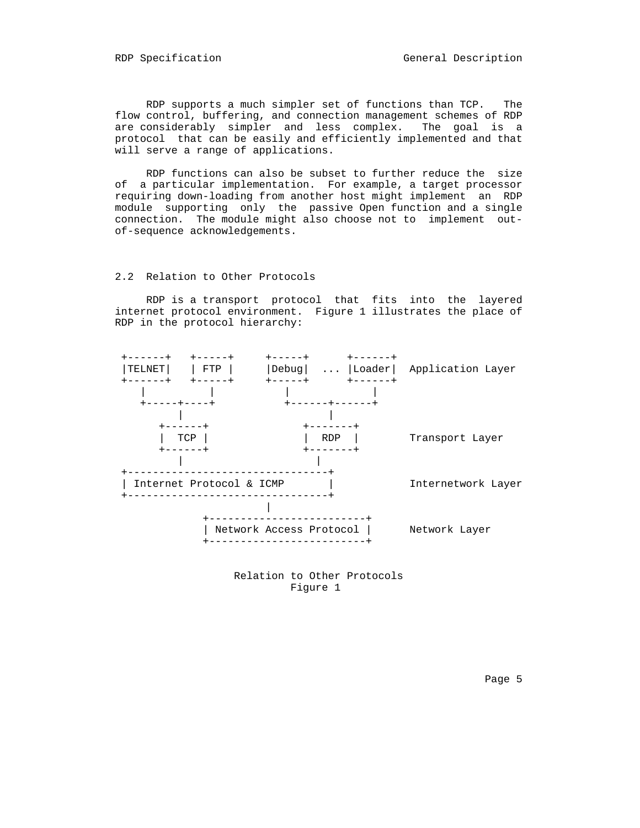RDP supports a much simpler set of functions than TCP. The flow control, buffering, and connection management schemes of RDP are considerably simpler and less complex. The goal is a protocol that can be easily and efficiently implemented and that will serve a range of applications.

 RDP functions can also be subset to further reduce the size of a particular implementation. For example, a target processor requiring down-loading from another host might implement an RDP module supporting only the passive Open function and a single connection. The module might also choose not to implement out of-sequence acknowledgements.

#### 2.2 Relation to Other Protocols

 RDP is a transport protocol that fits into the layered internet protocol environment. Figure 1 illustrates the place of RDP in the protocol hierarchy:



 Relation to Other Protocols Figure 1

Page 5 and the state of the state of the state of the state of the state of the state of the state of the state of the state of the state of the state of the state of the state of the state of the state of the state of the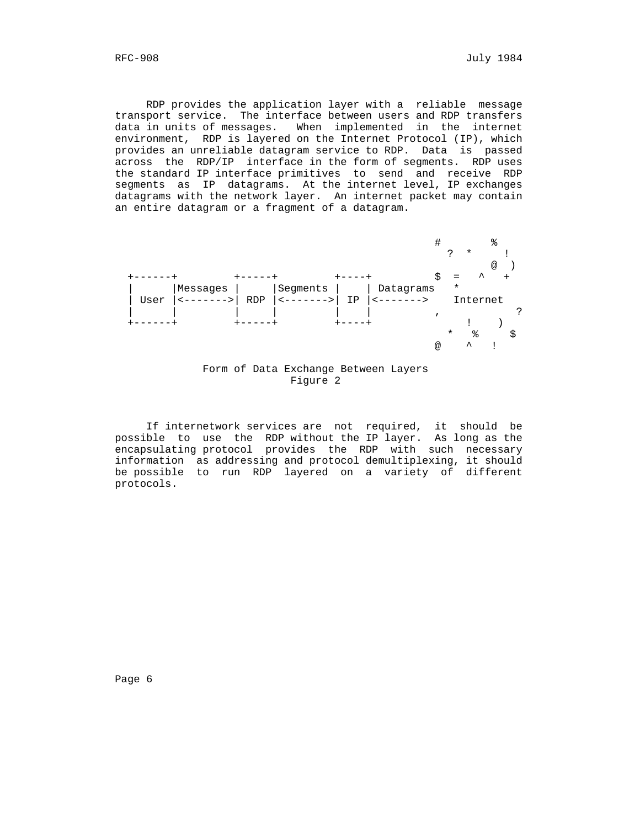RDP provides the application layer with a reliable message transport service. The interface between users and RDP transfers data in units of messages. When implemented in the internet environment, RDP is layered on the Internet Protocol (IP), which provides an unreliable datagram service to RDP. Data is passed across the RDP/IP interface in the form of segments. RDP uses the standard IP interface primitives to send and receive RDP segments as IP datagrams. At the internet level, IP exchanges datagrams with the network layer. An internet packet may contain an entire datagram or a fragment of a datagram.





 If internetwork services are not required, it should be possible to use the RDP without the IP layer. As long as the encapsulating protocol provides the RDP with such necessary information as addressing and protocol demultiplexing, it should be possible to run RDP layered on a variety of different protocols.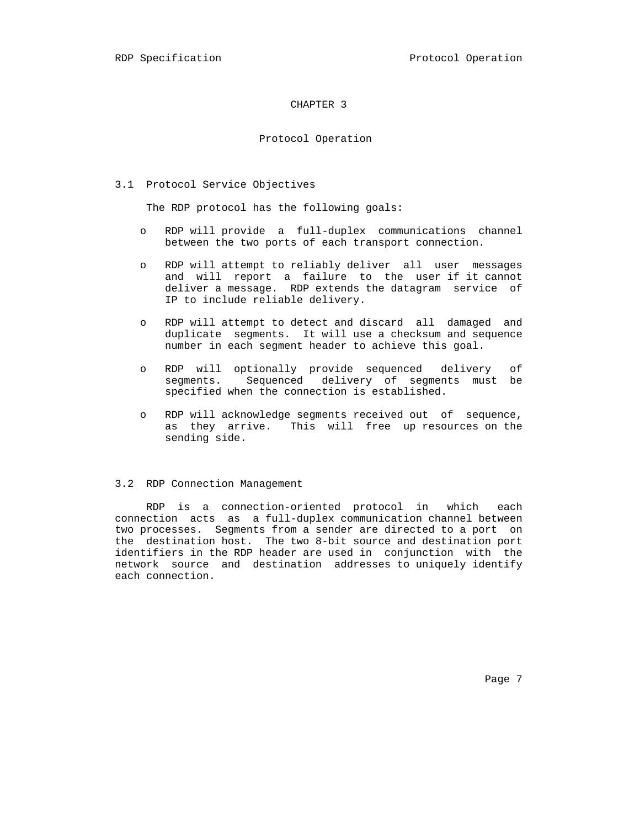#### CHAPTER 3

#### Protocol Operation

3.1 Protocol Service Objectives

The RDP protocol has the following goals:

- o RDP will provide a full-duplex communications channel between the two ports of each transport connection.
- o RDP will attempt to reliably deliver all user messages and will report a failure to the user if it cannot deliver a message. RDP extends the datagram service of IP to include reliable delivery.
- o RDP will attempt to detect and discard all damaged and duplicate segments. It will use a checksum and sequence number in each segment header to achieve this goal.
- o RDP will optionally provide sequenced delivery of segments. Sequenced delivery of segments must be specified when the connection is established.
- o RDP will acknowledge segments received out of sequence, as they arrive. This will free up resources on the sending side.

#### 3.2 RDP Connection Management

 RDP is a connection-oriented protocol in which each connection acts as a full-duplex communication channel between two processes. Segments from a sender are directed to a port on the destination host. The two 8-bit source and destination port identifiers in the RDP header are used in conjunction with the network source and destination addresses to uniquely identify each connection.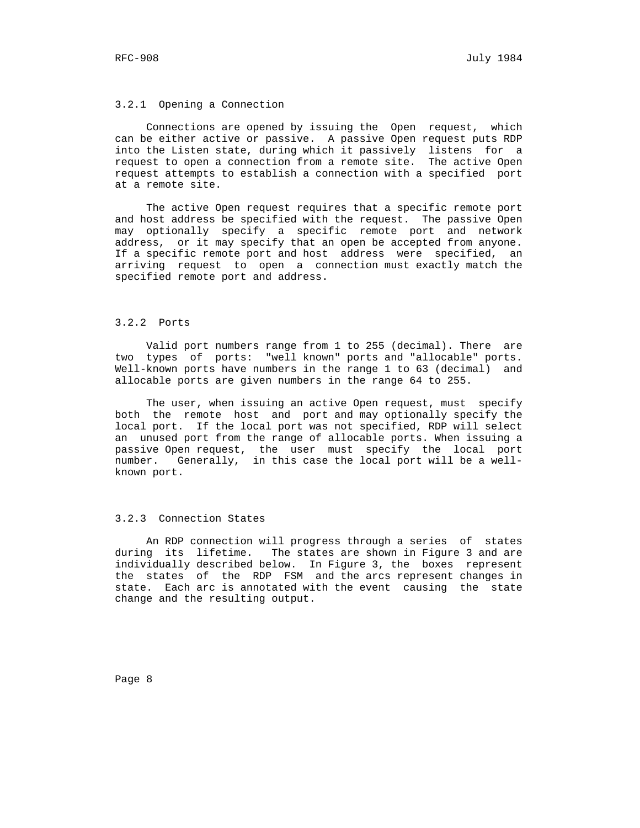#### 3.2.1 Opening a Connection

 Connections are opened by issuing the Open request, which can be either active or passive. A passive Open request puts RDP into the Listen state, during which it passively listens for a request to open a connection from a remote site. The active Open request attempts to establish a connection with a specified port at a remote site.

 The active Open request requires that a specific remote port and host address be specified with the request. The passive Open may optionally specify a specific remote port and network address, or it may specify that an open be accepted from anyone. If a specific remote port and host address were specified, an arriving request to open a connection must exactly match the specified remote port and address.

#### 3.2.2 Ports

 Valid port numbers range from 1 to 255 (decimal). There are two types of ports: "well known" ports and "allocable" ports. Well-known ports have numbers in the range 1 to 63 (decimal) and allocable ports are given numbers in the range 64 to 255.

 The user, when issuing an active Open request, must specify both the remote host and port and may optionally specify the local port. If the local port was not specified, RDP will select an unused port from the range of allocable ports. When issuing a passive Open request, the user must specify the local port number. Generally, in this case the local port will be a well known port.

## 3.2.3 Connection States

 An RDP connection will progress through a series of states during its lifetime. The states are shown in Figure 3 and are individually described below. In Figure 3, the boxes represent the states of the RDP FSM and the arcs represent changes in state. Each arc is annotated with the event causing the state change and the resulting output.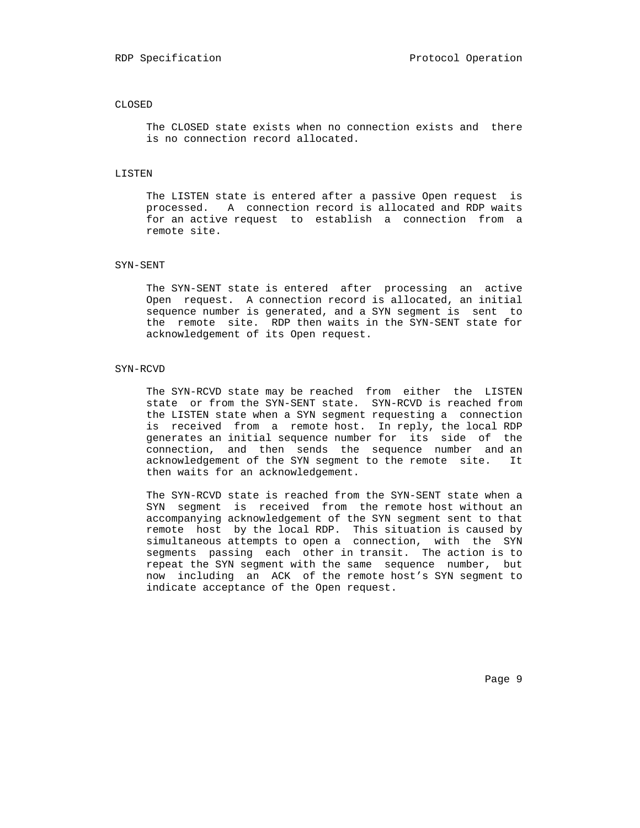#### CLOSED

 The CLOSED state exists when no connection exists and there is no connection record allocated.

#### LISTEN

 The LISTEN state is entered after a passive Open request is processed. A connection record is allocated and RDP waits for an active request to establish a connection from a remote site.

#### SYN-SENT

 The SYN-SENT state is entered after processing an active Open request. A connection record is allocated, an initial sequence number is generated, and a SYN segment is sent to the remote site. RDP then waits in the SYN-SENT state for acknowledgement of its Open request.

#### SYN-RCVD

 The SYN-RCVD state may be reached from either the LISTEN state or from the SYN-SENT state. SYN-RCVD is reached from the LISTEN state when a SYN segment requesting a connection is received from a remote host. In reply, the local RDP generates an initial sequence number for its side of the connection, and then sends the sequence number and an acknowledgement of the SYN segment to the remote site. It then waits for an acknowledgement.

 The SYN-RCVD state is reached from the SYN-SENT state when a SYN segment is received from the remote host without an accompanying acknowledgement of the SYN segment sent to that remote host by the local RDP. This situation is caused by simultaneous attempts to open a connection, with the SYN segments passing each other in transit. The action is to repeat the SYN segment with the same sequence number, but now including an ACK of the remote host's SYN segment to indicate acceptance of the Open request.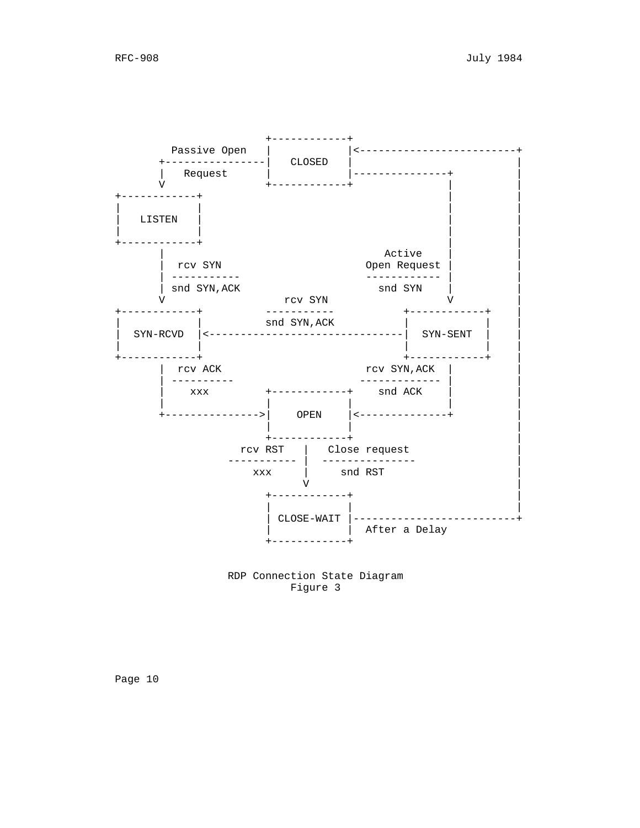

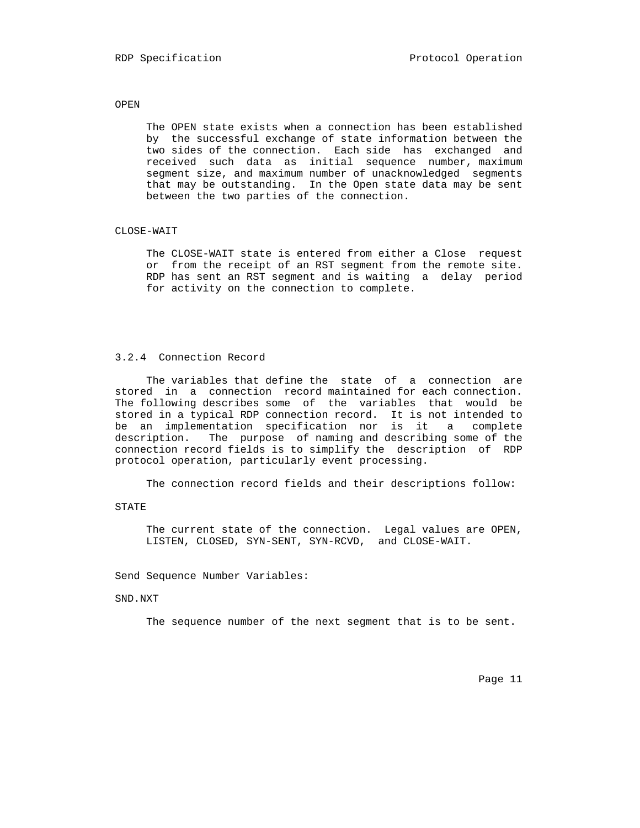## OPEN

 The OPEN state exists when a connection has been established by the successful exchange of state information between the two sides of the connection. Each side has exchanged and received such data as initial sequence number, maximum segment size, and maximum number of unacknowledged segments that may be outstanding. In the Open state data may be sent between the two parties of the connection.

## CLOSE-WAIT

 The CLOSE-WAIT state is entered from either a Close request or from the receipt of an RST segment from the remote site. RDP has sent an RST segment and is waiting a delay period for activity on the connection to complete.

## 3.2.4 Connection Record

 The variables that define the state of a connection are stored in a connection record maintained for each connection. The following describes some of the variables that would be stored in a typical RDP connection record. It is not intended to be an implementation specification nor is it a complete description. The purpose of naming and describing some of the connection record fields is to simplify the description of RDP protocol operation, particularly event processing.

The connection record fields and their descriptions follow:

#### STATE

 The current state of the connection. Legal values are OPEN, LISTEN, CLOSED, SYN-SENT, SYN-RCVD, and CLOSE-WAIT.

Send Sequence Number Variables:

### SND.NXT

The sequence number of the next segment that is to be sent.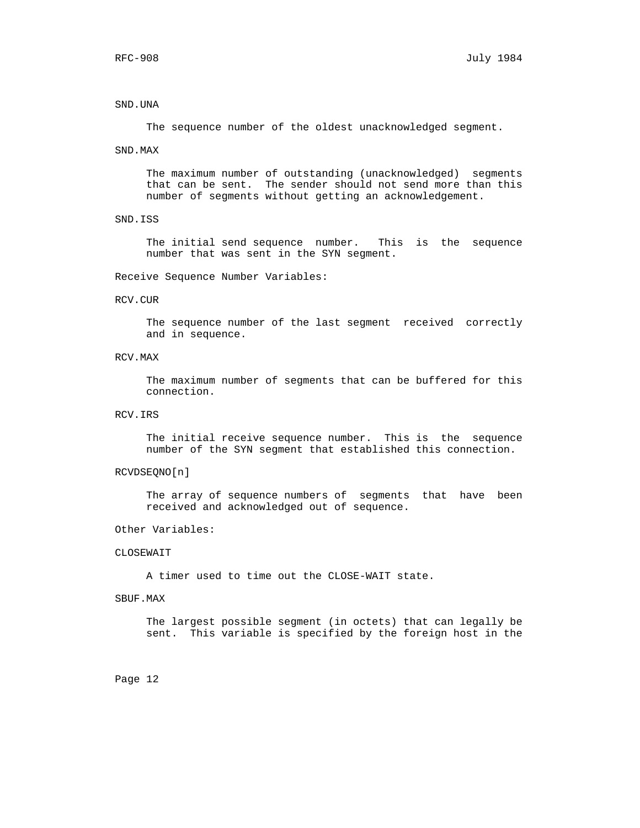### SND.UNA

The sequence number of the oldest unacknowledged segment.

#### SND.MAX

 The maximum number of outstanding (unacknowledged) segments that can be sent. The sender should not send more than this number of segments without getting an acknowledgement.

SND.ISS

 The initial send sequence number. This is the sequence number that was sent in the SYN segment.

Receive Sequence Number Variables:

## RCV.CUR

 The sequence number of the last segment received correctly and in sequence.

RCV.MAX

 The maximum number of segments that can be buffered for this connection.

RCV.IRS

 The initial receive sequence number. This is the sequence number of the SYN segment that established this connection.

## RCVDSEQNO[n]

 The array of sequence numbers of segments that have been received and acknowledged out of sequence.

#### Other Variables:

## CLOSEWAIT

A timer used to time out the CLOSE-WAIT state.

#### SBUF.MAX

 The largest possible segment (in octets) that can legally be sent. This variable is specified by the foreign host in the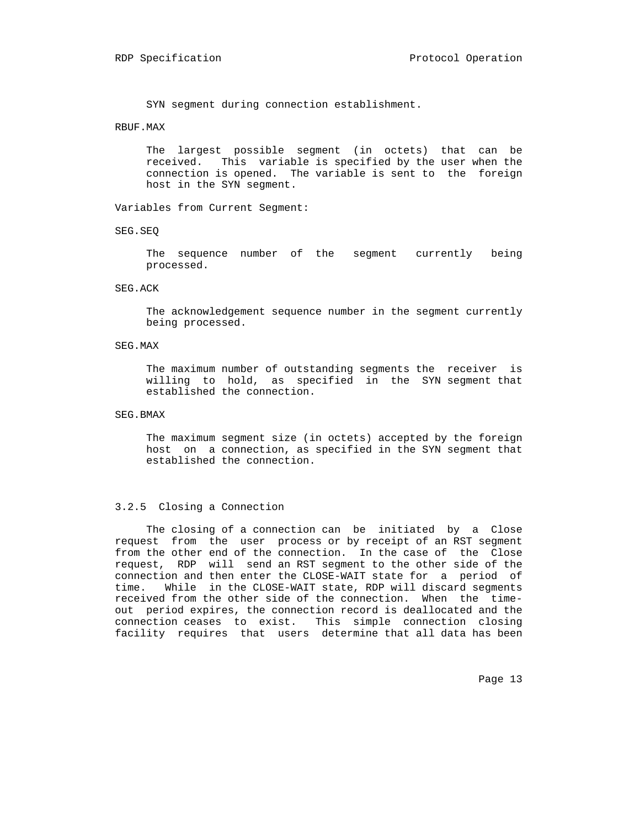SYN segment during connection establishment.

## RBUF.MAX

 The largest possible segment (in octets) that can be received. This variable is specified by the user when the connection is opened. The variable is sent to the foreign host in the SYN segment.

Variables from Current Segment:

SEG.SEQ

 The sequence number of the segment currently being processed.

SEG.ACK

 The acknowledgement sequence number in the segment currently being processed.

SEG.MAX

 The maximum number of outstanding segments the receiver is willing to hold, as specified in the SYN segment that established the connection.

SEG.BMAX

 The maximum segment size (in octets) accepted by the foreign host on a connection, as specified in the SYN segment that established the connection.

#### 3.2.5 Closing a Connection

 The closing of a connection can be initiated by a Close request from the user process or by receipt of an RST segment from the other end of the connection. In the case of the Close request, RDP will send an RST segment to the other side of the connection and then enter the CLOSE-WAIT state for a period of time. While in the CLOSE-WAIT state, RDP will discard segments received from the other side of the connection. When the time out period expires, the connection record is deallocated and the connection ceases to exist. This simple connection closing facility requires that users determine that all data has been

Page 13 and the state of the state of the state of the state of the state of the state of the state of the state of the state of the state of the state of the state of the state of the state of the state of the state of th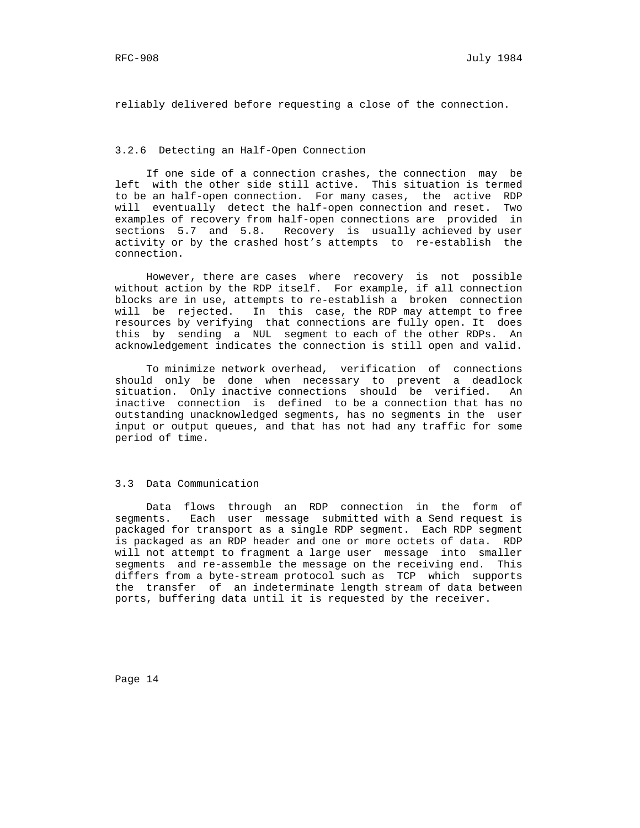reliably delivered before requesting a close of the connection.

## 3.2.6 Detecting an Half-Open Connection

 If one side of a connection crashes, the connection may be left with the other side still active. This situation is termed to be an half-open connection. For many cases, the active RDP will eventually detect the half-open connection and reset. Two examples of recovery from half-open connections are provided in sections 5.7 and 5.8. Recovery is usually achieved by user activity or by the crashed host's attempts to re-establish the connection.

 However, there are cases where recovery is not possible without action by the RDP itself. For example, if all connection blocks are in use, attempts to re-establish a broken connection will be rejected. In this case, the RDP may attempt to free resources by verifying that connections are fully open. It does this by sending a NUL segment to each of the other RDPs. An acknowledgement indicates the connection is still open and valid.

 To minimize network overhead, verification of connections should only be done when necessary to prevent a deadlock situation. Only inactive connections should be verified. An inactive connection is defined to be a connection that has no outstanding unacknowledged segments, has no segments in the user input or output queues, and that has not had any traffic for some period of time.

### 3.3 Data Communication

 Data flows through an RDP connection in the form of segments. Each user message submitted with a Send request is packaged for transport as a single RDP segment. Each RDP segment is packaged as an RDP header and one or more octets of data. RDP will not attempt to fragment a large user message into smaller segments and re-assemble the message on the receiving end. This differs from a byte-stream protocol such as TCP which supports the transfer of an indeterminate length stream of data between ports, buffering data until it is requested by the receiver.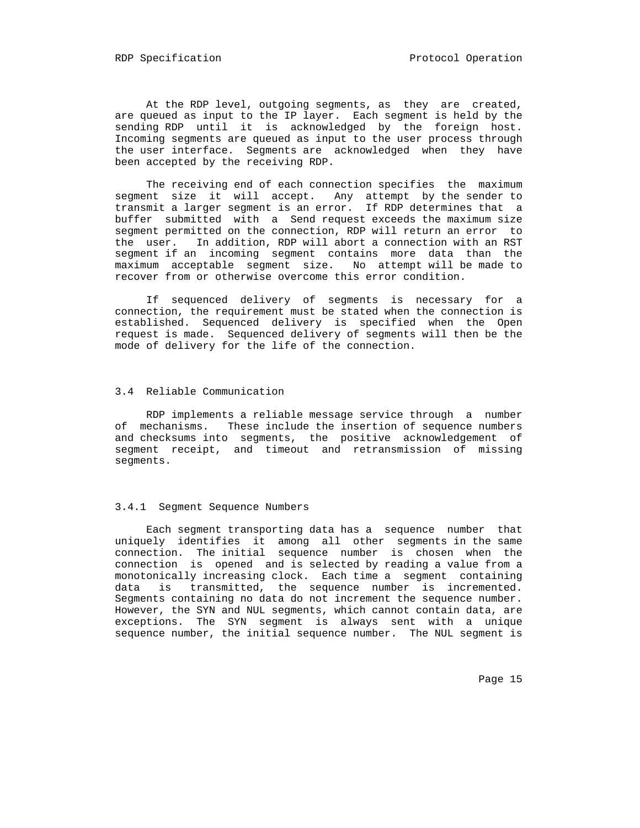At the RDP level, outgoing segments, as they are created, are queued as input to the IP layer. Each segment is held by the sending RDP until it is acknowledged by the foreign host. Incoming segments are queued as input to the user process through the user interface. Segments are acknowledged when they have been accepted by the receiving RDP.

 The receiving end of each connection specifies the maximum segment size it will accept. Any attempt by the sender to transmit a larger segment is an error. If RDP determines that a buffer submitted with a Send request exceeds the maximum size segment permitted on the connection, RDP will return an error to the user. In addition, RDP will abort a connection with an RST segment if an incoming segment contains more data than the maximum acceptable segment size. No attempt will be made to recover from or otherwise overcome this error condition.

 If sequenced delivery of segments is necessary for a connection, the requirement must be stated when the connection is established. Sequenced delivery is specified when the Open request is made. Sequenced delivery of segments will then be the mode of delivery for the life of the connection.

### 3.4 Reliable Communication

 RDP implements a reliable message service through a number of mechanisms. These include the insertion of sequence numbers and checksums into segments, the positive acknowledgement of segment receipt, and timeout and retransmission of missing segments.

#### 3.4.1 Segment Sequence Numbers

 Each segment transporting data has a sequence number that uniquely identifies it among all other segments in the same connection. The initial sequence number is chosen when the connection is opened and is selected by reading a value from a monotonically increasing clock. Each time a segment containing data is transmitted, the sequence number is incremented. Segments containing no data do not increment the sequence number. However, the SYN and NUL segments, which cannot contain data, are exceptions. The SYN segment is always sent with a unique sequence number, the initial sequence number. The NUL segment is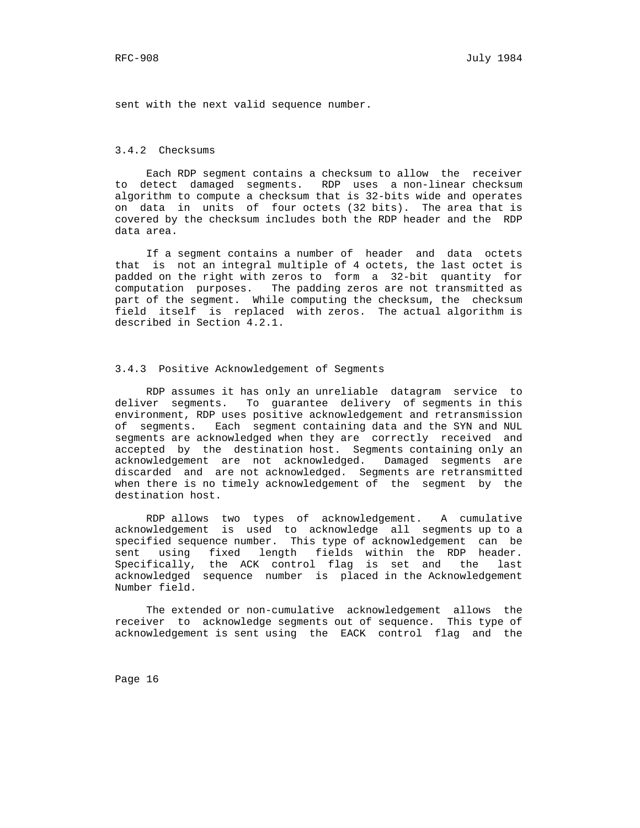sent with the next valid sequence number.

# 3.4.2 Checksums

 Each RDP segment contains a checksum to allow the receiver to detect damaged segments. RDP uses a non-linear checksum algorithm to compute a checksum that is 32-bits wide and operates on data in units of four octets (32 bits). The area that is covered by the checksum includes both the RDP header and the RDP data area.

 If a segment contains a number of header and data octets that is not an integral multiple of 4 octets, the last octet is padded on the right with zeros to form a 32-bit quantity for computation purposes. The padding zeros are not transmitted as part of the segment. While computing the checksum, the checksum field itself is replaced with zeros. The actual algorithm is described in Section 4.2.1.

### 3.4.3 Positive Acknowledgement of Segments

 RDP assumes it has only an unreliable datagram service to deliver segments. To guarantee delivery of segments in this environment, RDP uses positive acknowledgement and retransmission of segments. Each segment containing data and the SYN and NUL segments are acknowledged when they are correctly received and accepted by the destination host. Segments containing only an acknowledgement are not acknowledged. Damaged segments are discarded and are not acknowledged. Segments are retransmitted when there is no timely acknowledgement of the segment by the destination host.

 RDP allows two types of acknowledgement. A cumulative acknowledgement is used to acknowledge all segments up to a specified sequence number. This type of acknowledgement can be sent using fixed length fields within the RDP header. Specifically, the ACK control flag is set and the last acknowledged sequence number is placed in the Acknowledgement Number field.

 The extended or non-cumulative acknowledgement allows the receiver to acknowledge segments out of sequence. This type of acknowledgement is sent using the EACK control flag and the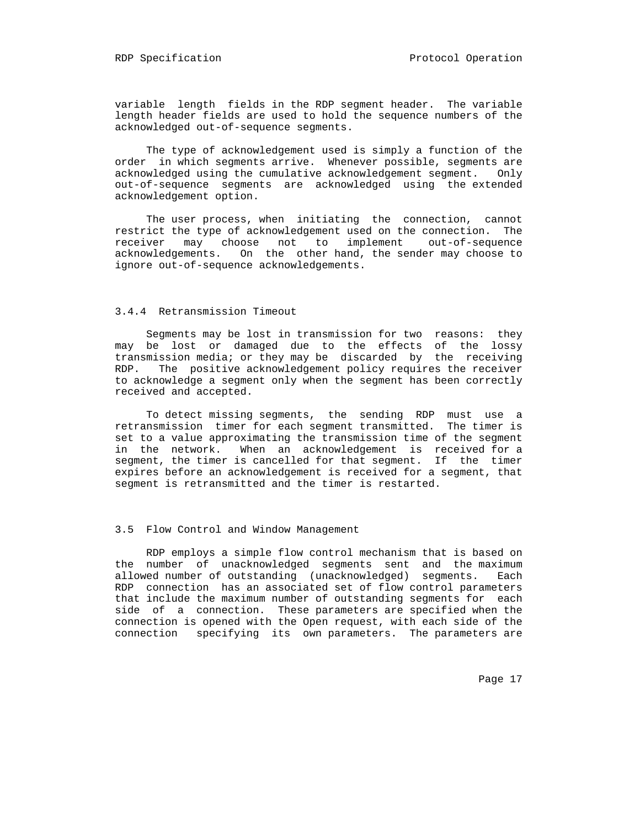variable length fields in the RDP segment header. The variable length header fields are used to hold the sequence numbers of the acknowledged out-of-sequence segments.

 The type of acknowledgement used is simply a function of the order in which segments arrive. Whenever possible, segments are acknowledged using the cumulative acknowledgement segment. Only out-of-sequence segments are acknowledged using the extended acknowledgement option.

 The user process, when initiating the connection, cannot restrict the type of acknowledgement used on the connection. The receiver may choose not to implement out-of-sequence acknowledgements. On the other hand, the sender may choose to ignore out-of-sequence acknowledgements.

## 3.4.4 Retransmission Timeout

 Segments may be lost in transmission for two reasons: they may be lost or damaged due to the effects of the lossy transmission media; or they may be discarded by the receiving RDP. The positive acknowledgement policy requires the receiver to acknowledge a segment only when the segment has been correctly received and accepted.

 To detect missing segments, the sending RDP must use a retransmission timer for each segment transmitted. The timer is set to a value approximating the transmission time of the segment in the network. When an acknowledgement is received for a segment, the timer is cancelled for that segment. If the timer expires before an acknowledgement is received for a segment, that segment is retransmitted and the timer is restarted.

## 3.5 Flow Control and Window Management

 RDP employs a simple flow control mechanism that is based on the number of unacknowledged segments sent and the maximum allowed number of outstanding (unacknowledged) segments. Each RDP connection has an associated set of flow control parameters that include the maximum number of outstanding segments for each side of a connection. These parameters are specified when the connection is opened with the Open request, with each side of the connection specifying its own parameters. The parameters are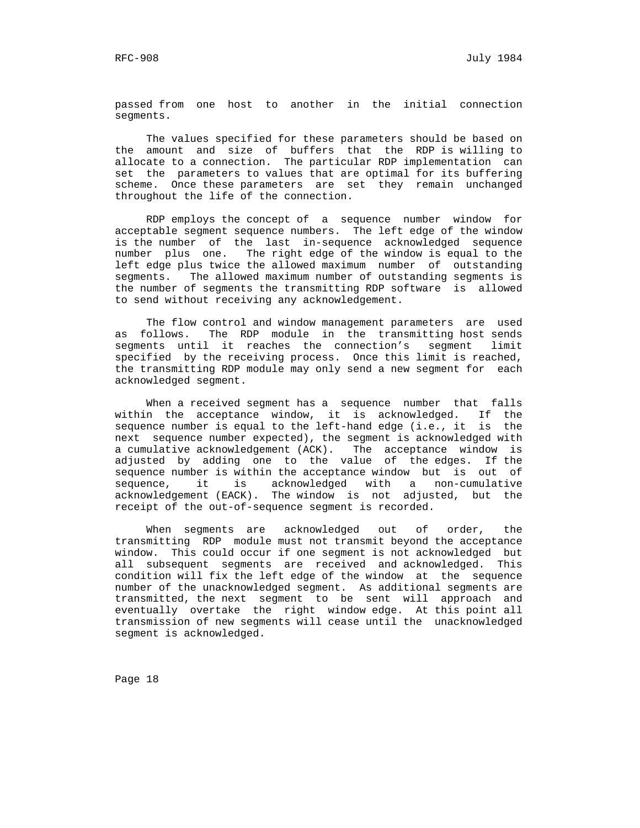passed from one host to another in the initial connection segments.

 The values specified for these parameters should be based on the amount and size of buffers that the RDP is willing to allocate to a connection. The particular RDP implementation can set the parameters to values that are optimal for its buffering scheme. Once these parameters are set they remain unchanged throughout the life of the connection.

 RDP employs the concept of a sequence number window for acceptable segment sequence numbers. The left edge of the window is the number of the last in-sequence acknowledged sequence number plus one. The right edge of the window is equal to the left edge plus twice the allowed maximum number of outstanding segments. The allowed maximum number of outstanding segments is the number of segments the transmitting RDP software is allowed to send without receiving any acknowledgement.

 The flow control and window management parameters are used as follows. The RDP module in the transmitting host sends segments until it reaches the connection's segment limit specified by the receiving process. Once this limit is reached, the transmitting RDP module may only send a new segment for each acknowledged segment.

 When a received segment has a sequence number that falls within the acceptance window, it is acknowledged. If the sequence number is equal to the left-hand edge (i.e., it is the next sequence number expected), the segment is acknowledged with a cumulative acknowledgement (ACK). The acceptance window is adjusted by adding one to the value of the edges. If the sequence number is within the acceptance window but is out of sequence, it is acknowledged with a non-cumulative acknowledgement (EACK). The window is not adjusted, but the receipt of the out-of-sequence segment is recorded.

 When segments are acknowledged out of order, the transmitting RDP module must not transmit beyond the acceptance window. This could occur if one segment is not acknowledged but all subsequent segments are received and acknowledged. This condition will fix the left edge of the window at the sequence number of the unacknowledged segment. As additional segments are transmitted, the next segment to be sent will approach and eventually overtake the right window edge. At this point all transmission of new segments will cease until the unacknowledged segment is acknowledged.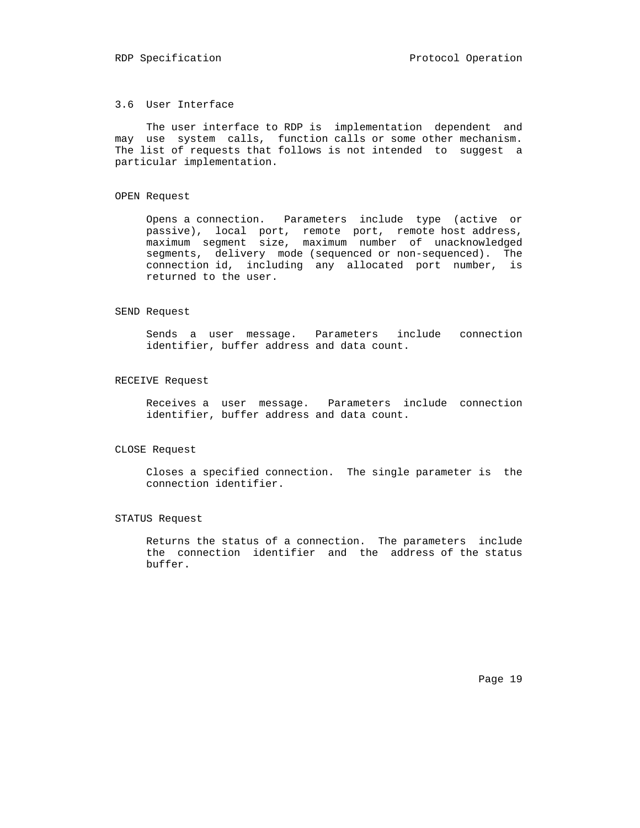## 3.6 User Interface

 The user interface to RDP is implementation dependent and may use system calls, function calls or some other mechanism. The list of requests that follows is not intended to suggest a particular implementation.

#### OPEN Request

 Opens a connection. Parameters include type (active or passive), local port, remote port, remote host address, maximum segment size, maximum number of unacknowledged segments, delivery mode (sequenced or non-sequenced). The connection id, including any allocated port number, is returned to the user.

## SEND Request

 Sends a user message. Parameters include connection identifier, buffer address and data count.

### RECEIVE Request

 Receives a user message. Parameters include connection identifier, buffer address and data count.

#### CLOSE Request

 Closes a specified connection. The single parameter is the connection identifier.

#### STATUS Request

 Returns the status of a connection. The parameters include the connection identifier and the address of the status buffer.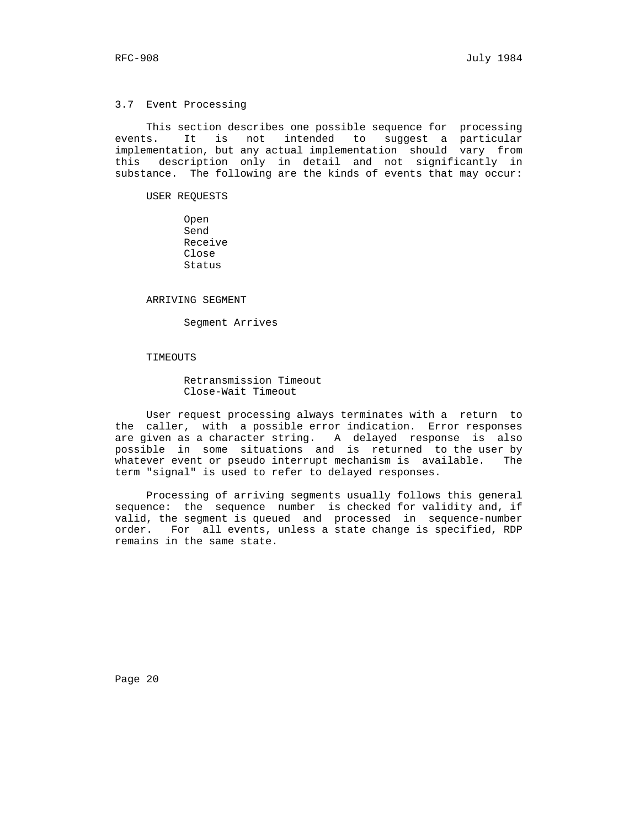#### 3.7 Event Processing

 This section describes one possible sequence for processing events. It is not intended to suggest a particular implementation, but any actual implementation should vary from this description only in detail and not significantly in substance. The following are the kinds of events that may occur:

USER REQUESTS

 Open Send Receive Close Status

#### ARRIVING SEGMENT

Segment Arrives

## TIMEOUTS

 Retransmission Timeout Close-Wait Timeout

 User request processing always terminates with a return to the caller, with a possible error indication. Error responses are given as a character string. A delayed response is also possible in some situations and is returned to the user by whatever event or pseudo interrupt mechanism is available. The term "signal" is used to refer to delayed responses.

 Processing of arriving segments usually follows this general sequence: the sequence number is checked for validity and, if valid, the segment is queued and processed in sequence-number order. For all events, unless a state change is specified, RDP remains in the same state.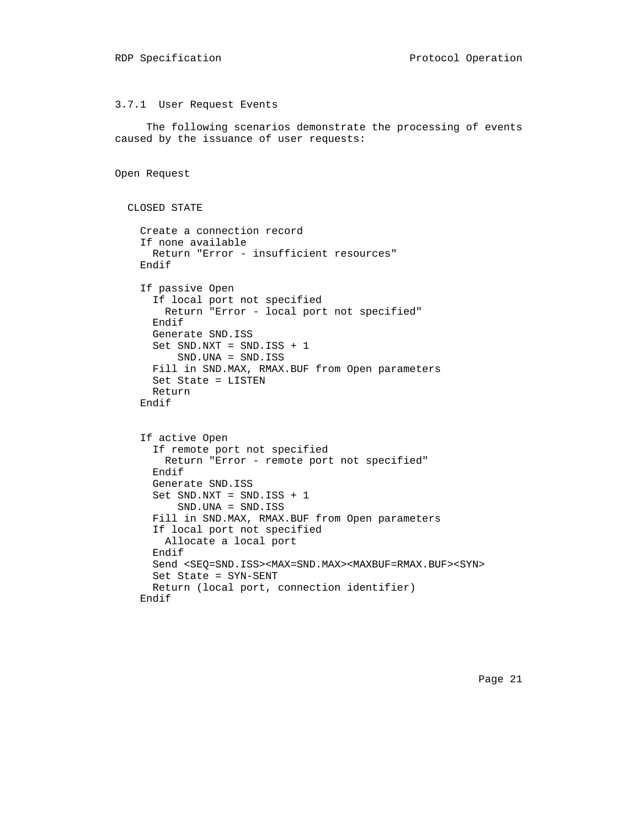#### 3.7.1 User Request Events

 The following scenarios demonstrate the processing of events caused by the issuance of user requests:

```
 Open Request
```

```
 CLOSED STATE
   Create a connection record
   If none available
     Return "Error - insufficient resources"
   Endif
   If passive Open
     If local port not specified
       Return "Error - local port not specified"
     Endif
     Generate SND.ISS
    Set SND.NXT = SND.ISS + 1 SND.UNA = SND.ISS
     Fill in SND.MAX, RMAX.BUF from Open parameters
     Set State = LISTEN
     Return
   Endif
   If active Open
     If remote port not specified
       Return "Error - remote port not specified"
     Endif
     Generate SND.ISS
     Set SND.NXT = SND.ISS + 1
         SND.UNA = SND.ISS
     Fill in SND.MAX, RMAX.BUF from Open parameters
     If local port not specified
       Allocate a local port
     Endif
     Send <SEQ=SND.ISS><MAX=SND.MAX><MAXBUF=RMAX.BUF><SYN>
     Set State = SYN-SENT
     Return (local port, connection identifier)
   Endif
```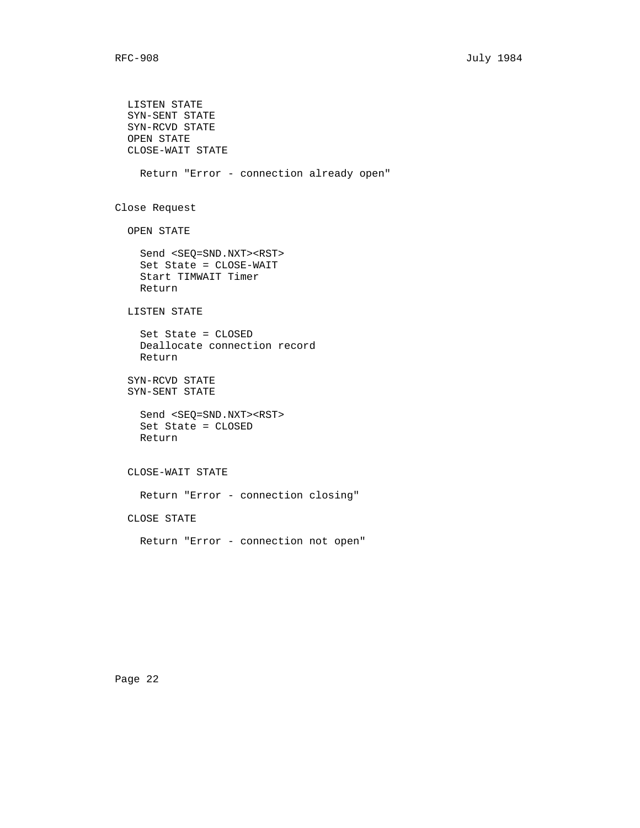LISTEN STATE SYN-SENT STATE SYN-RCVD STATE OPEN STATE CLOSE-WAIT STATE Return "Error - connection already open" Close Request OPEN STATE Send <SEQ=SND.NXT><RST> Set State = CLOSE-WAIT Start TIMWAIT Timer Return LISTEN STATE Set State = CLOSED Deallocate connection record Return SYN-RCVD STATE SYN-SENT STATE Send <SEQ=SND.NXT><RST> Set State = CLOSED Return CLOSE-WAIT STATE Return "Error - connection closing" CLOSE STATE Return "Error - connection not open"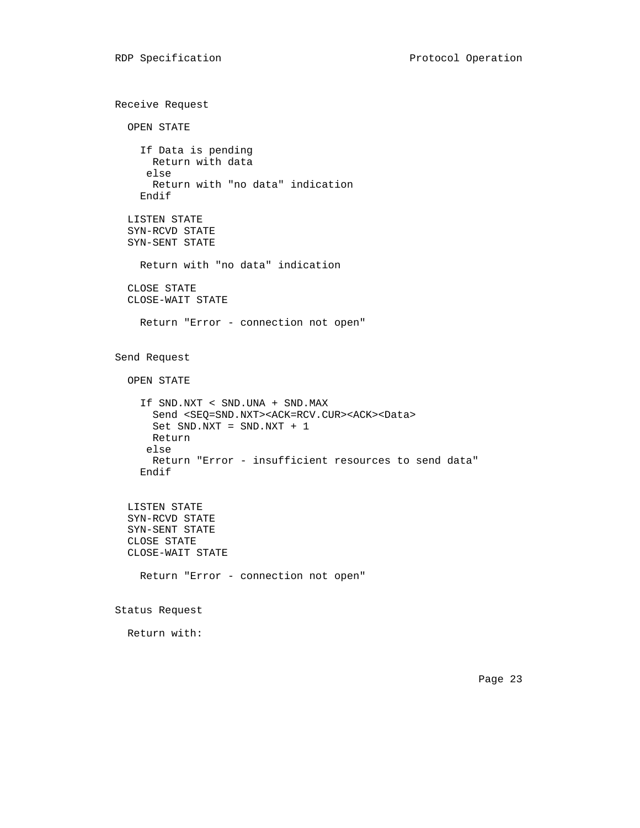```
 Receive Request
   OPEN STATE
     If Data is pending
      Return with data
      else
       Return with "no data" indication
     Endif
   LISTEN STATE
   SYN-RCVD STATE
   SYN-SENT STATE
     Return with "no data" indication
   CLOSE STATE
   CLOSE-WAIT STATE
     Return "Error - connection not open"
 Send Request
   OPEN STATE
     If SND.NXT < SND.UNA + SND.MAX
       Send <SEQ=SND.NXT><ACK=RCV.CUR><ACK><Data>
       Set SND.NXT = SND.NXT + 1
      Return
      else
       Return "Error - insufficient resources to send data"
     Endif
   LISTEN STATE
   SYN-RCVD STATE
   SYN-SENT STATE
   CLOSE STATE
   CLOSE-WAIT STATE
     Return "Error - connection not open"
 Status Request
```
Return with:

Page 23 and the contract of the contract of the contract of the contract of the contract of the contract of the contract of the contract of the contract of the contract of the contract of the contract of the contract of th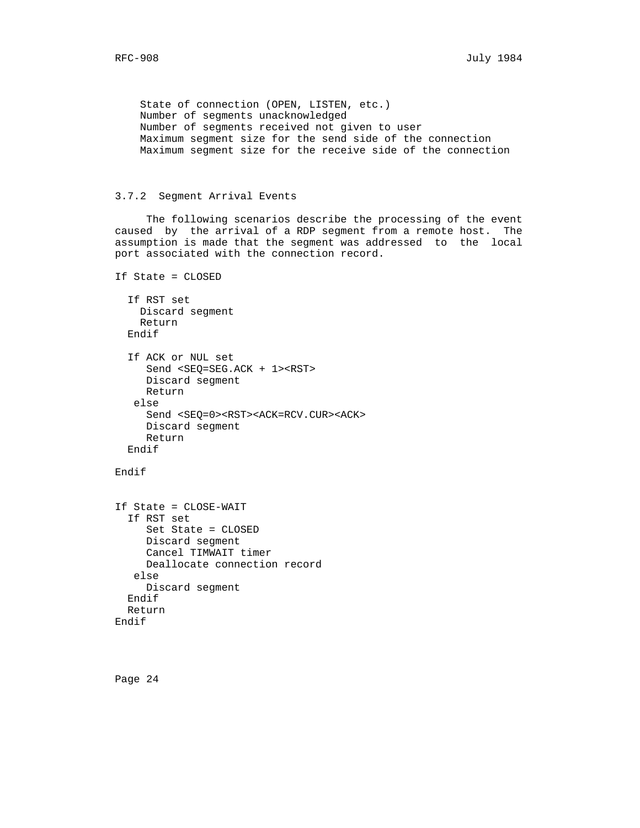State of connection (OPEN, LISTEN, etc.) Number of segments unacknowledged Number of segments received not given to user Maximum segment size for the send side of the connection Maximum segment size for the receive side of the connection

## 3.7.2 Segment Arrival Events

 The following scenarios describe the processing of the event caused by the arrival of a RDP segment from a remote host. The assumption is made that the segment was addressed to the local port associated with the connection record.

```
 If State = CLOSED
   If RST set
    Discard segment
    Return
  Endif
   If ACK or NUL set
      Send <SEQ=SEG.ACK + 1><RST>
      Discard segment
      Return
    else
      Send <SEQ=0><RST><ACK=RCV.CUR><ACK>
      Discard segment
      Return
   Endif
```
## Endif

```
 If State = CLOSE-WAIT
   If RST set
      Set State = CLOSED
      Discard segment
      Cancel TIMWAIT timer
      Deallocate connection record
    else
      Discard segment
   Endif
   Return
 Endif
```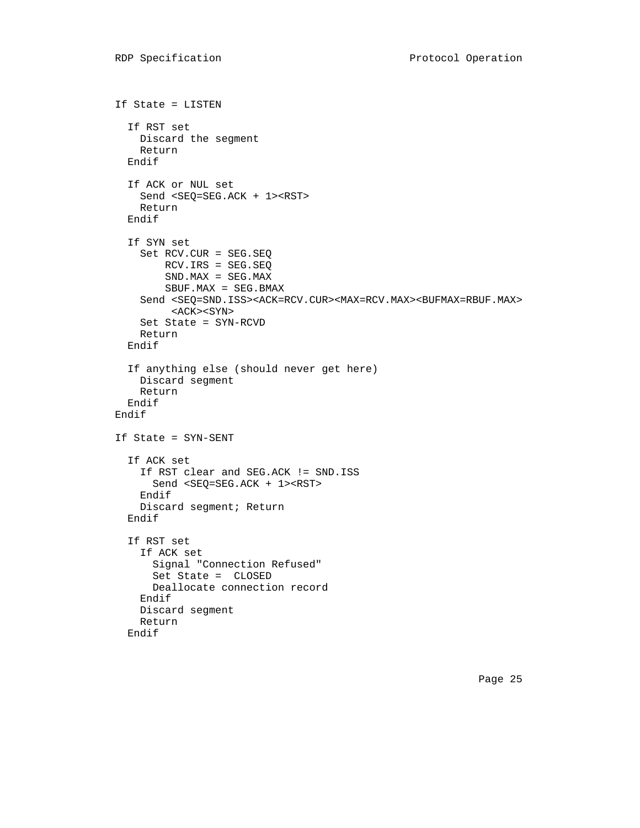```
 If State = LISTEN
   If RST set
    Discard the segment
     Return
   Endif
   If ACK or NUL set
     Send <SEQ=SEG.ACK + 1><RST>
    Return
   Endif
   If SYN set
     Set RCV.CUR = SEG.SEQ
         RCV.IRS = SEG.SEQ
        SND.MAX = SEG.MAX SBUF.MAX = SEG.BMAX
    Send <SEQ=SND.ISS><ACK=RCV.CUR><MAX=RCV.MAX><BUFMAX=RBUF.MAX>
          <ACK><SYN>
     Set State = SYN-RCVD
    Return
   Endif
   If anything else (should never get here)
    Discard segment
     Return
   Endif
 Endif
 If State = SYN-SENT
   If ACK set
     If RST clear and SEG.ACK != SND.ISS
       Send <SEQ=SEG.ACK + 1><RST>
     Endif
     Discard segment; Return
   Endif
   If RST set
     If ACK set
       Signal "Connection Refused"
       Set State = CLOSED
       Deallocate connection record
     Endif
     Discard segment
    Return
   Endif
```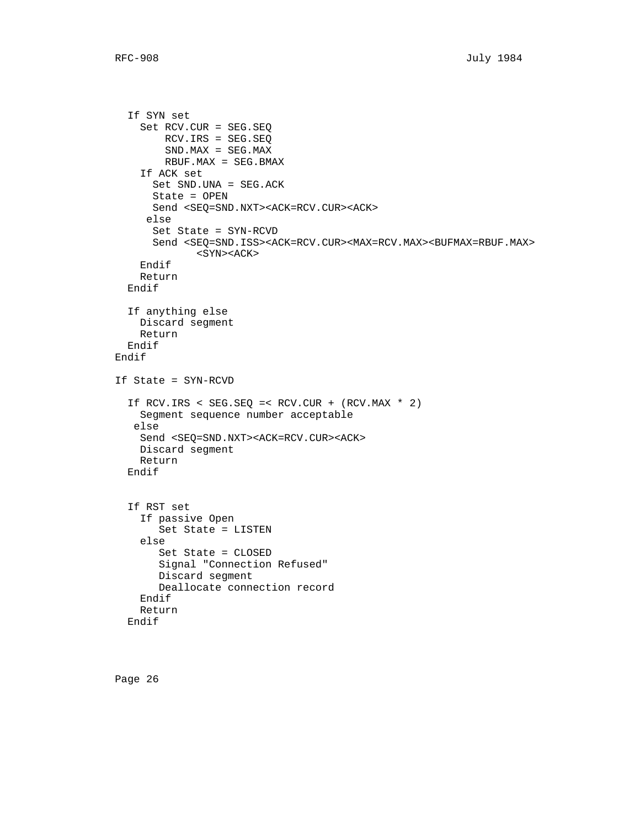```
 If SYN set
     Set RCV.CUR = SEG.SEQ
         RCV.IRS = SEG.SEQ
         SND.MAX = SEG.MAX
         RBUF.MAX = SEG.BMAX
     If ACK set
       Set SND.UNA = SEG.ACK
       State = OPEN
       Send <SEQ=SND.NXT><ACK=RCV.CUR><ACK>
      else
       Set State = SYN-RCVD
      Send <SEQ=SND.ISS><ACK=RCV.CUR><MAX=RCV.MAX><BUFMAX=RBUF.MAX>
              <SYN><ACK>
     Endif
     Return
   Endif
   If anything else
    Discard segment
    Return
   Endif
 Endif
 If State = SYN-RCVD
   If RCV.IRS < SEG.SEQ =< RCV.CUR + (RCV.MAX * 2)
     Segment sequence number acceptable
    else
     Send <SEQ=SND.NXT><ACK=RCV.CUR><ACK>
     Discard segment
     Return
   Endif
   If RST set
     If passive Open
        Set State = LISTEN
     else
        Set State = CLOSED
        Signal "Connection Refused"
        Discard segment
        Deallocate connection record
     Endif
     Return
   Endif
```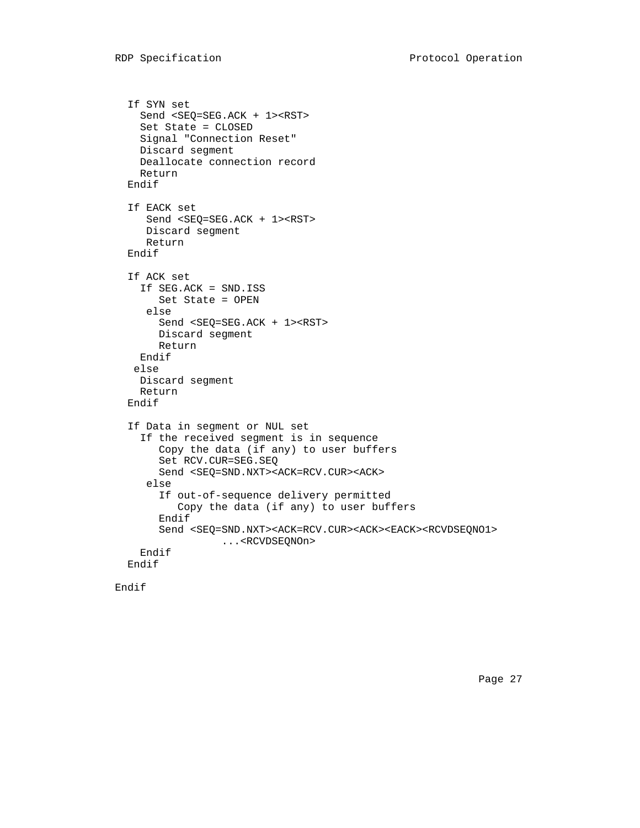```
 If SYN set
   Send <SEQ=SEG.ACK + 1><RST>
   Set State = CLOSED
   Signal "Connection Reset"
  Discard segment
  Deallocate connection record
   Return
 Endif
 If EACK set
    Send <SEQ=SEG.ACK + 1><RST>
    Discard segment
    Return
 Endif
 If ACK set
  If SEG.ACK = SND.ISS
      Set State = OPEN
    else
      Send <SEQ=SEG.ACK + 1><RST>
     Discard segment
     Return
  Endif
 else
  Discard segment
   Return
 Endif
 If Data in segment or NUL set
   If the received segment is in sequence
      Copy the data (if any) to user buffers
      Set RCV.CUR=SEG.SEQ
      Send <SEQ=SND.NXT><ACK=RCV.CUR><ACK>
    else
      If out-of-sequence delivery permitted
         Copy the data (if any) to user buffers
      Endif
      Send <SEQ=SND.NXT><ACK=RCV.CUR><ACK><EACK><RCVDSEQNO1>
                ...<RCVDSEQNOn>
   Endif
 Endif
```

```
 Endif
```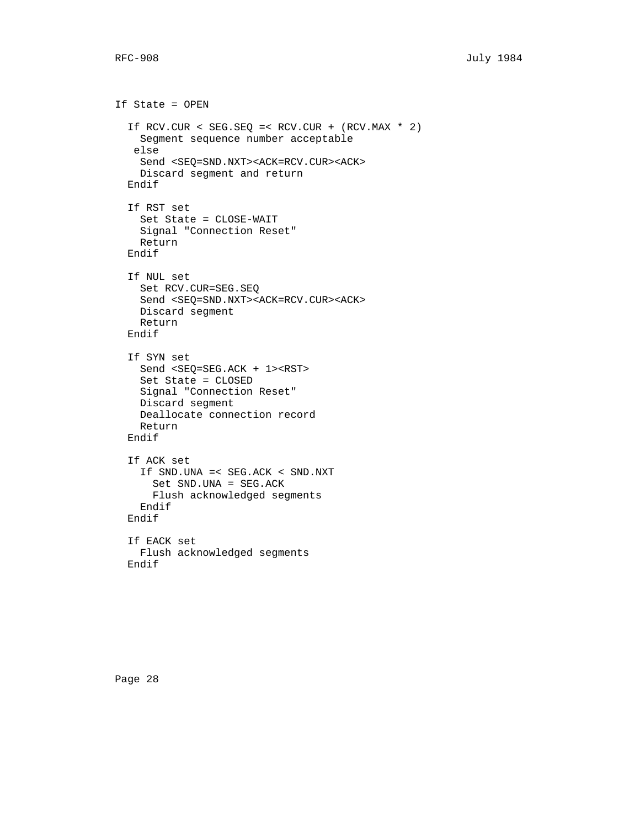If State = OPEN If RCV.CUR < SEG.SEQ =< RCV.CUR + (RCV.MAX \* 2) Segment sequence number acceptable else Send <SEQ=SND.NXT><ACK=RCV.CUR><ACK> Discard segment and return Endif If RST set Set State = CLOSE-WAIT Signal "Connection Reset" Return Endif If NUL set Set RCV.CUR=SEG.SEQ Send <SEQ=SND.NXT><ACK=RCV.CUR><ACK> Discard segment Return Endif If SYN set Send <SEQ=SEG.ACK + 1><RST> Set State = CLOSED Signal "Connection Reset" Discard segment Deallocate connection record Return Endif If ACK set If SND.UNA =< SEG.ACK < SND.NXT Set SND.UNA = SEG.ACK Flush acknowledged segments Endif Endif If EACK set Flush acknowledged segments Endif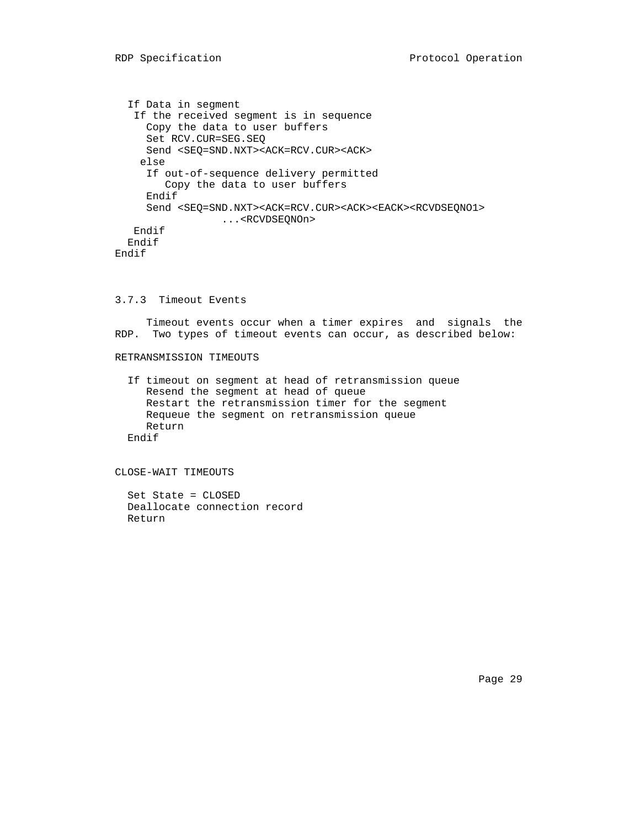If Data in segment If the received segment is in sequence Copy the data to user buffers Set RCV.CUR=SEG.SEQ Send <SEQ=SND.NXT><ACK=RCV.CUR><ACK> else If out-of-sequence delivery permitted Copy the data to user buffers Endif Send <SEQ=SND.NXT><ACK=RCV.CUR><ACK><EACK><RCVDSEQNO1> ...<RCVDSEQNOn> Endif Endif Endif

## 3.7.3 Timeout Events

 Timeout events occur when a timer expires and signals the RDP. Two types of timeout events can occur, as described below:

## RETRANSMISSION TIMEOUTS

 If timeout on segment at head of retransmission queue Resend the segment at head of queue Restart the retransmission timer for the segment Requeue the segment on retransmission queue Return Endif

CLOSE-WAIT TIMEOUTS

 Set State = CLOSED Deallocate connection record Return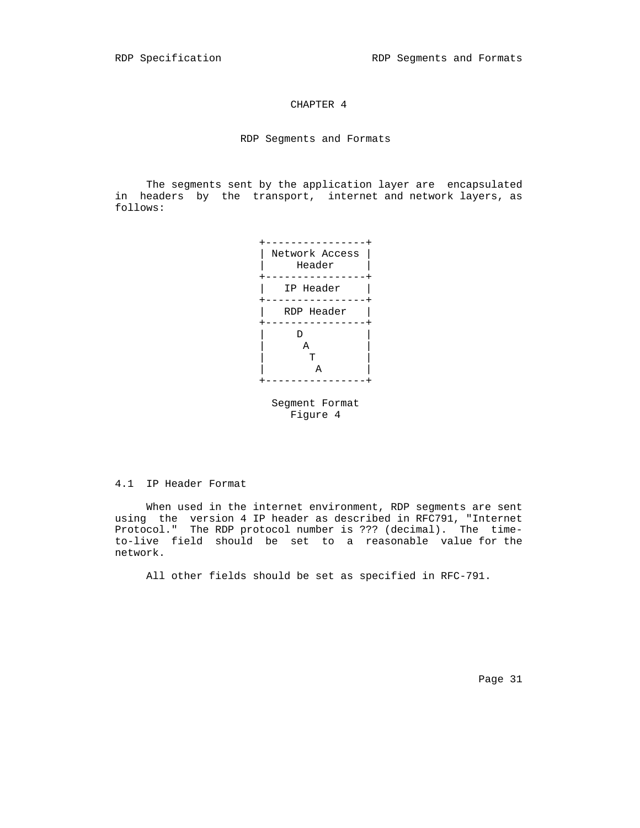## CHAPTER 4

RDP Segments and Formats

 The segments sent by the application layer are encapsulated in headers by the transport, internet and network layers, as follows:





4.1 IP Header Format

 When used in the internet environment, RDP segments are sent using the version 4 IP header as described in RFC791, "Internet Protocol." The RDP protocol number is ??? (decimal). The time to-live field should be set to a reasonable value for the network.

All other fields should be set as specified in RFC-791.

Page 31 and the state of the state of the state of the state of the state of the state of the state of the state of the state of the state of the state of the state of the state of the state of the state of the state of th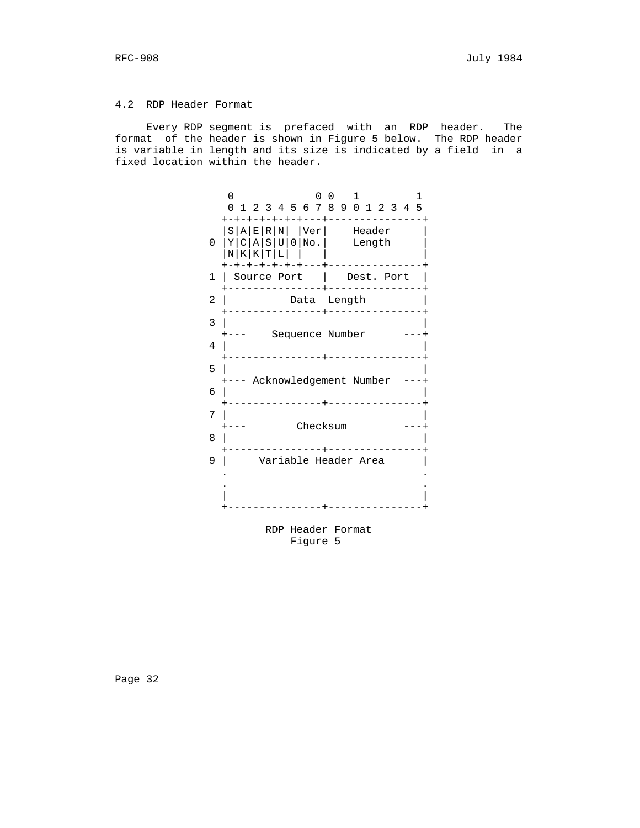## 4.2 RDP Header Format

 Every RDP segment is prefaced with an RDP header. The format of the header is shown in Figure 5 below. The RDP header is variable in length and its size is indicated by a field in a fixed location within the header.

 0 0 0 1 1 0 1 2 3 4 5 6 7 8 9 0 1 2 3 4 5 +-+-+-+-+-+-+---+---------------+  $|S|A|E|R|N|$  |Ver| Header |  $0 |Y|C|A|S|U|0|N_0.$  Length  $|Y|C|A|S|U|0|N_0.$  $|N|K|K|T|L|$  | +-+-+-+-+-+-+---+---------------+ 1 | Source Port | Dest. Port | +---------------+---------------+ 2 | Data Length +---------------+---------------+ 3 | | +--- Sequence Number ---+  $4$  | +---------------+---------------+ 5 | | +--- Acknowledgement Number ---+ 6 | | +-----------------+------------------+<br>7 |  $7$  | +--- Checksum ---+ 8 | | +---------------+---------------+ 9 | Variable Header Area | . . . . | | +---------------+---------------+

> RDP Header Format Figure 5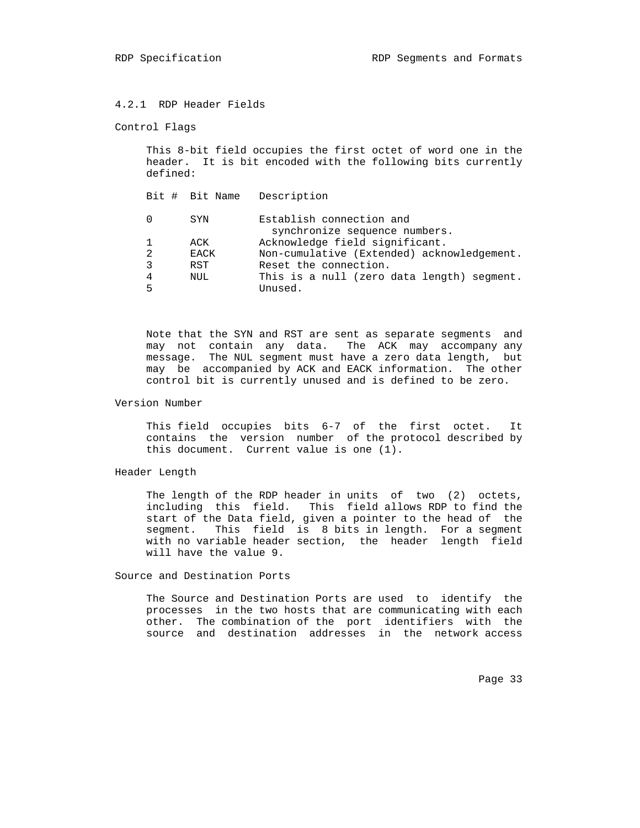## 4.2.1 RDP Header Fields

#### Control Flags

 This 8-bit field occupies the first octet of word one in the header. It is bit encoded with the following bits currently defined:

 Bit # Bit Name Description 0 SYN Establish connection and synchronize sequence numbers. 1 ACK Acknowledge field significant. 2 EACK Non-cumulative (Extended) acknowledgement. 3 RST Reset the connection.<br>4 NUL This is a null (zero 4 NUL This is a null (zero data length) segment. 5 Unused.

 Note that the SYN and RST are sent as separate segments and may not contain any data. The ACK may accompany any message. The NUL segment must have a zero data length, but may be accompanied by ACK and EACK information. The other control bit is currently unused and is defined to be zero.

# Version Number

 This field occupies bits 6-7 of the first octet. It contains the version number of the protocol described by this document. Current value is one (1).

### Header Length

The length of the RDP header in units of two (2) octets, including this field. This field allows RDP to find the start of the Data field, given a pointer to the head of the segment. This field is 8 bits in length. For a segment with no variable header section, the header length field will have the value 9.

#### Source and Destination Ports

 The Source and Destination Ports are used to identify the processes in the two hosts that are communicating with each other. The combination of the port identifiers with the source and destination addresses in the network access

Page 33 and the contract of the contract of the contract of the contract of the contract of the contract of the contract of the contract of the contract of the contract of the contract of the contract of the contract of th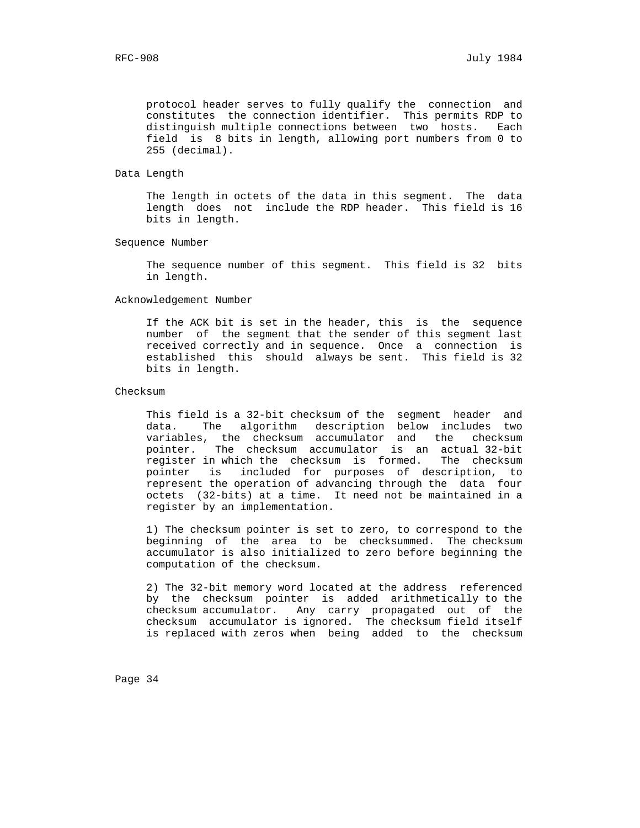protocol header serves to fully qualify the connection and constitutes the connection identifier. This permits RDP to distinguish multiple connections between two hosts. Each field is 8 bits in length, allowing port numbers from 0 to 255 (decimal).

Data Length

 The length in octets of the data in this segment. The data length does not include the RDP header. This field is 16 bits in length.

Sequence Number

 The sequence number of this segment. This field is 32 bits in length.

Acknowledgement Number

 If the ACK bit is set in the header, this is the sequence number of the segment that the sender of this segment last received correctly and in sequence. Once a connection is established this should always be sent. This field is 32 bits in length.

Checksum

 This field is a 32-bit checksum of the segment header and data. The algorithm description below includes two variables, the checksum accumulator and the checksum pointer. The checksum accumulator is an actual 32-bit register in which the checksum is formed. The checksum pointer is included for purposes of description, to represent the operation of advancing through the data four octets (32-bits) at a time. It need not be maintained in a register by an implementation.

 1) The checksum pointer is set to zero, to correspond to the beginning of the area to be checksummed. The checksum accumulator is also initialized to zero before beginning the computation of the checksum.

 2) The 32-bit memory word located at the address referenced by the checksum pointer is added arithmetically to the checksum accumulator. Any carry propagated out of the checksum accumulator is ignored. The checksum field itself is replaced with zeros when being added to the checksum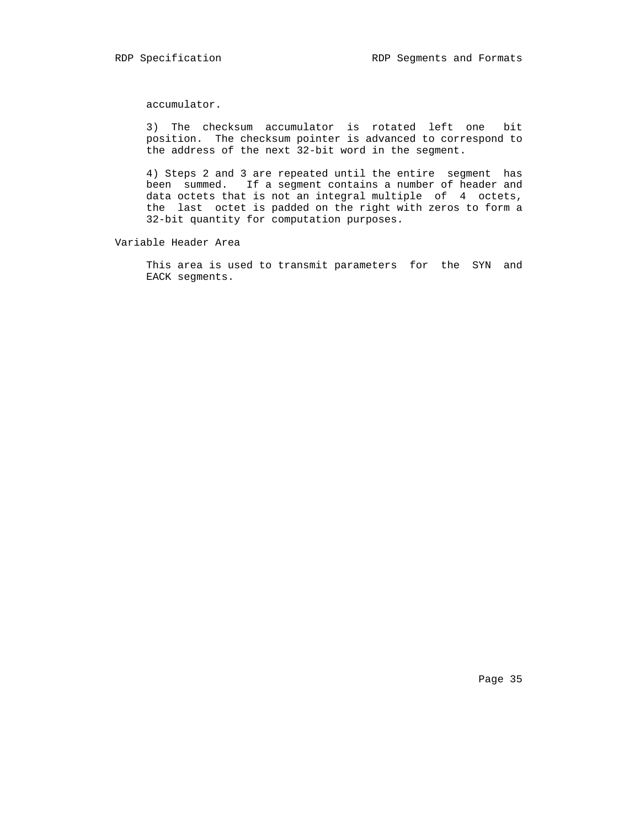accumulator.

 3) The checksum accumulator is rotated left one bit position. The checksum pointer is advanced to correspond to the address of the next 32-bit word in the segment.

> 4) Steps 2 and 3 are repeated until the entire segment has been summed. If a segment contains a number of header and data octets that is not an integral multiple of 4 octets, the last octet is padded on the right with zeros to form a 32-bit quantity for computation purposes.

Variable Header Area

 This area is used to transmit parameters for the SYN and EACK segments.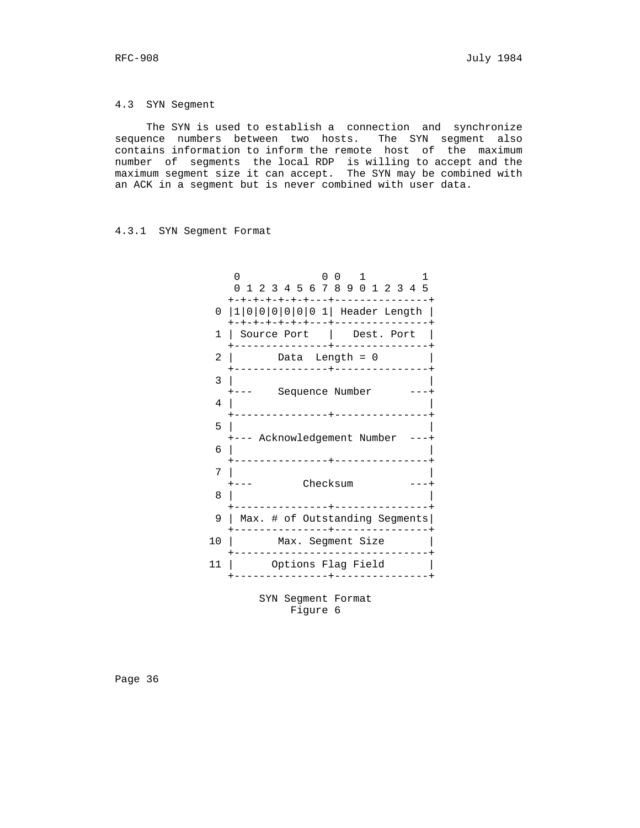#### 4.3 SYN Segment

 The SYN is used to establish a connection and synchronize sequence numbers between two hosts. The SYN segment also contains information to inform the remote host of the maximum number of segments the local RDP is willing to accept and the maximum segment size it can accept. The SYN may be combined with an ACK in a segment but is never combined with user data.

#### 4.3.1 SYN Segment Format



Figure 6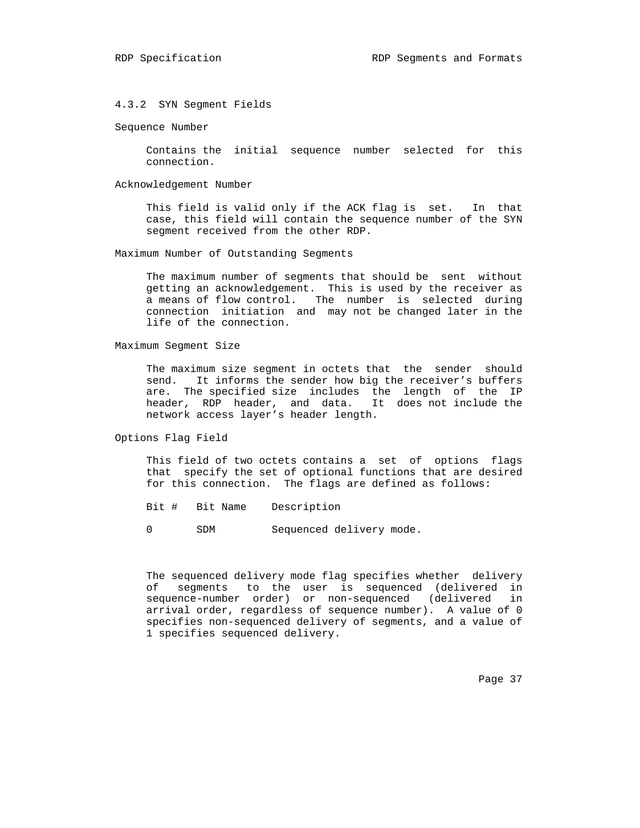4.3.2 SYN Segment Fields

Sequence Number

 Contains the initial sequence number selected for this connection.

Acknowledgement Number

 This field is valid only if the ACK flag is set. In that case, this field will contain the sequence number of the SYN segment received from the other RDP.

Maximum Number of Outstanding Segments

 The maximum number of segments that should be sent without getting an acknowledgement. This is used by the receiver as a means of flow control. The number is selected during connection initiation and may not be changed later in the life of the connection.

Maximum Segment Size

 The maximum size segment in octets that the sender should send. It informs the sender how big the receiver's buffers are. The specified size includes the length of the IP header, RDP header, and data. It does not include the network access layer's header length.

Options Flag Field

 This field of two octets contains a set of options flags that specify the set of optional functions that are desired for this connection. The flags are defined as follows:

Bit # Bit Name Description

0 SDM Sequenced delivery mode.

 The sequenced delivery mode flag specifies whether delivery of segments to the user is sequenced (delivered in sequence-number order) or non-sequenced (delivered in arrival order, regardless of sequence number). A value of 0 specifies non-sequenced delivery of segments, and a value of 1 specifies sequenced delivery.

Page 37 and the contract of the contract of the contract of the contract of the contract of the contract of the contract of the contract of the contract of the contract of the contract of the contract of the contract of th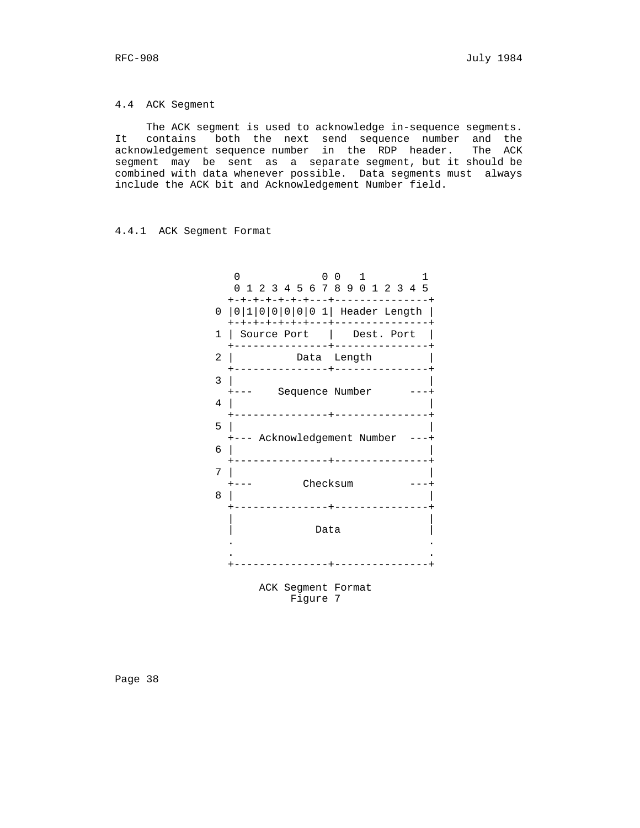4.4 ACK Segment

 The ACK segment is used to acknowledge in-sequence segments. It contains both the next send sequence number and the acknowledgement sequence number in the RDP header. The ACK segment may be sent as a separate segment, but it should be combined with data whenever possible. Data segments must always include the ACK bit and Acknowledgement Number field.

#### 4.4.1 ACK Segment Format

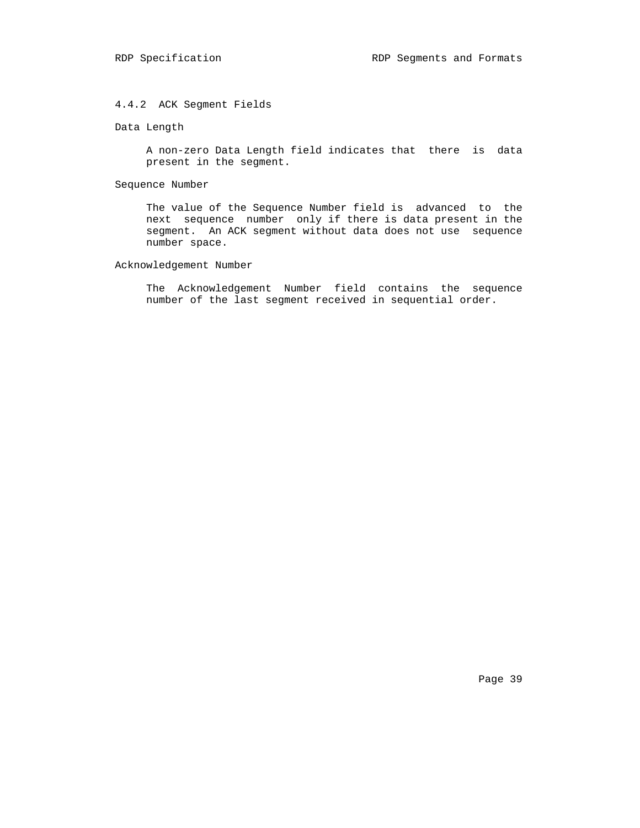## 4.4.2 ACK Segment Fields

Data Length

 A non-zero Data Length field indicates that there is data present in the segment.

Sequence Number

 The value of the Sequence Number field is advanced to the next sequence number only if there is data present in the segment. An ACK segment without data does not use sequence number space.

## Acknowledgement Number

 The Acknowledgement Number field contains the sequence number of the last segment received in sequential order.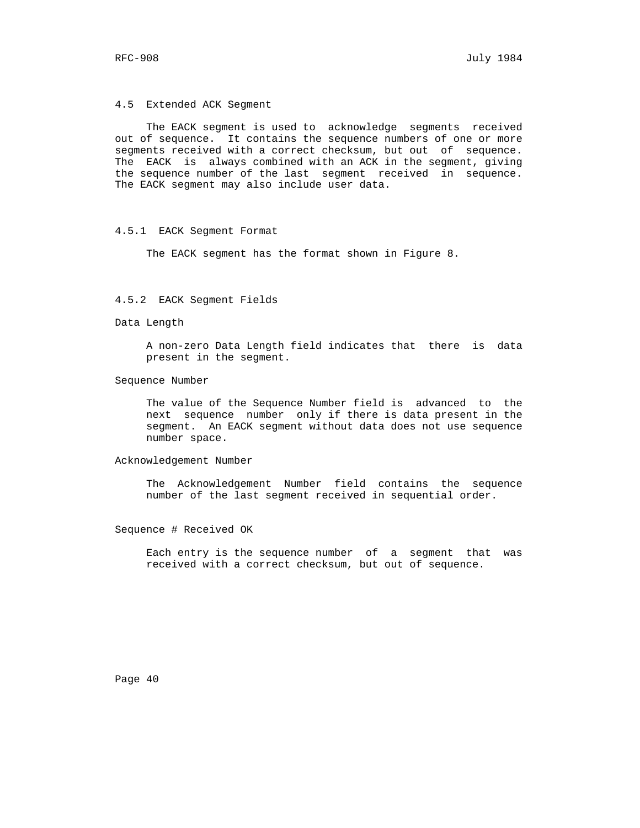4.5 Extended ACK Segment

 The EACK segment is used to acknowledge segments received out of sequence. It contains the sequence numbers of one or more segments received with a correct checksum, but out of sequence. The EACK is always combined with an ACK in the segment, giving the sequence number of the last segment received in sequence. The EACK segment may also include user data.

#### 4.5.1 EACK Segment Format

The EACK segment has the format shown in Figure 8.

## 4.5.2 EACK Segment Fields

Data Length

 A non-zero Data Length field indicates that there is data present in the segment.

Sequence Number

 The value of the Sequence Number field is advanced to the next sequence number only if there is data present in the segment. An EACK segment without data does not use sequence number space.

Acknowledgement Number

 The Acknowledgement Number field contains the sequence number of the last segment received in sequential order.

Sequence # Received OK

 Each entry is the sequence number of a segment that was received with a correct checksum, but out of sequence.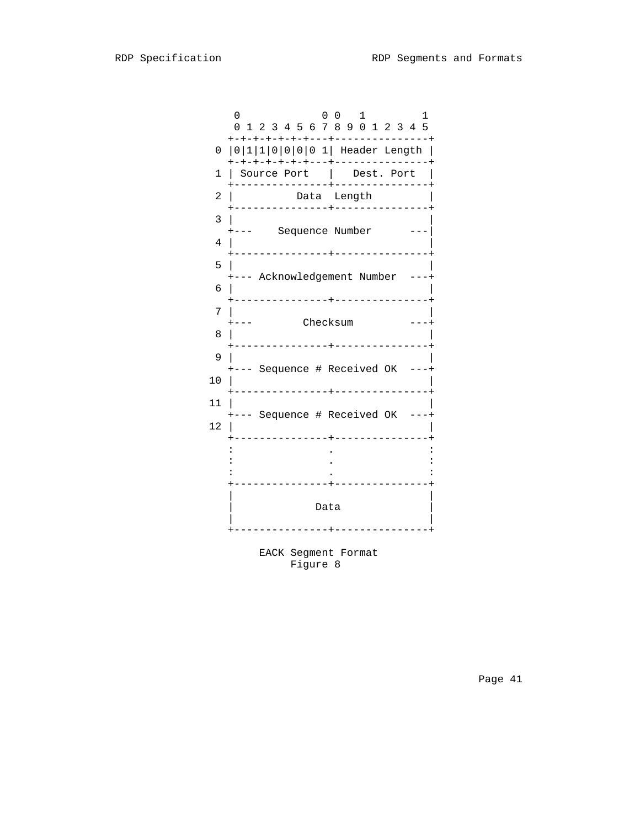|                | 0<br>0<br>$\overline{0}$<br>$\mathbf{1}$<br>ı<br>0 1 2 3 4 5 6 7 8 9 0 1 2 3 4 5                                        |
|----------------|-------------------------------------------------------------------------------------------------------------------------|
|                | -+-+-+-+-+---+--------------<br>0   0   1   1   0   0   0   0 1   Header Length  <br>+-+-+-+-+-+-+---+----------------+ |
| 1              | Source Port   Dest. Port                                                                                                |
| $\overline{2}$ | Data Length<br>+---------------+----------------+                                                                       |
| 3              | +--- Sequence Number ---                                                                                                |
| 4              | +---------------+----------------+                                                                                      |
| 5              |                                                                                                                         |
| 6              | +--- Acknowledgement Number ---+<br>-+---------------+<br>+--------------                                               |
| 7              | $- - - -$                                                                                                               |
| 8              | Checksum<br>-----------+---------------+                                                                                |
| 9              |                                                                                                                         |
| 10             | +--- Sequence # Received OK ---+<br>-----------+----------------+                                                       |
| 11             |                                                                                                                         |
| 12             | +--- Sequence # Received OK ---+                                                                                        |
|                | ---------------+<br>____________                                                                                        |
|                |                                                                                                                         |
|                | ----------------+----------------<br>Data<br>+-------------<br>-+--------------                                         |
|                | EACK Segment Format                                                                                                     |

Figure 8 and 1990 and 1990 and 1990 and 1990 and 1990 and 1990 and 1990 and 1990 and 1990 and 1990 and 1990 and 1990 and 1990 and 1990 and 1990 and 1990 and 1990 and 1990 and 1990 and 1990 and 1990 and 1990 and 1990 and 19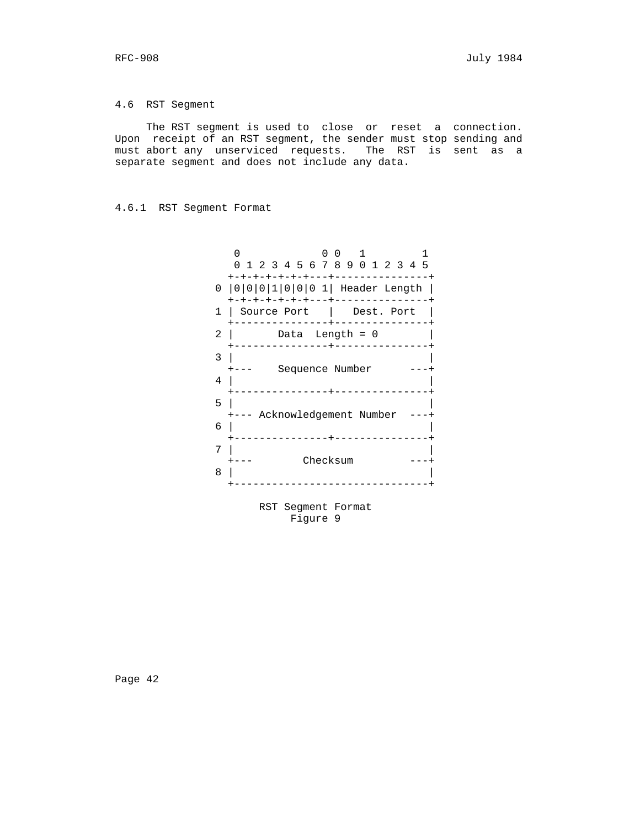# 4.6 RST Segment

 The RST segment is used to close or reset a connection. Upon receipt of an RST segment, the sender must stop sending and must abort any unserviced requests. The RST is sent as a separate segment and does not include any data.

# 4.6.1 RST Segment Format

|        | O<br>0 1 2 3 4 5 6 7 8 9 0 1 2 3 4 5                                                                                      |
|--------|---------------------------------------------------------------------------------------------------------------------------|
| 1      | $- + - - - -$<br>0   0   0   0   1   0   0   0 1   Header Length  <br>-+-+-+---+-------------<br>Source Port   Dest. Port |
| 2      | Data Length = $0$                                                                                                         |
| 3<br>4 | . <u>.</u> .<br>Sequence Number                                                                                           |
| 5<br>6 | +--- Acknowledgement Number                                                                                               |
| 7<br>8 | Checksum                                                                                                                  |

 RST Segment Format Figure 9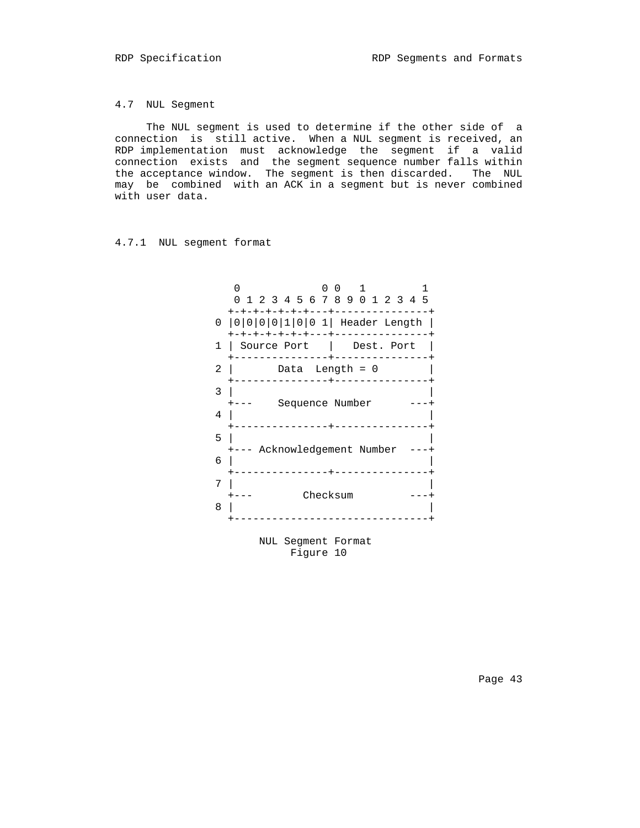4.7 NUL Segment

 The NUL segment is used to determine if the other side of a connection is still active. When a NUL segment is received, an RDP implementation must acknowledge the segment if a valid connection exists and the segment sequence number falls within the acceptance window. The segment is then discarded. The NUL may be combined with an ACK in a segment but is never combined with user data.

# 4.7.1 NUL segment format

|          | U                                   | 0 1 2 3 4 5 6 7 8 9 0 1 2 3 4 5  |
|----------|-------------------------------------|----------------------------------|
| $\Omega$ | ーナーナーナーナ<br>+-+-+-+-+---+-----      | $ 0 0 0 0 1 0 01 $ Header Length |
| 1        | Source Port   Dest. Port            |                                  |
| 2        | Data Length = $0$                   |                                  |
| 3<br>4   | Sequence Number                     |                                  |
| 5<br>6   | Acknowledgement Number<br>$+ - - -$ |                                  |
| 7<br>8   | Checksum                            |                                  |

 NUL Segment Format Figure 10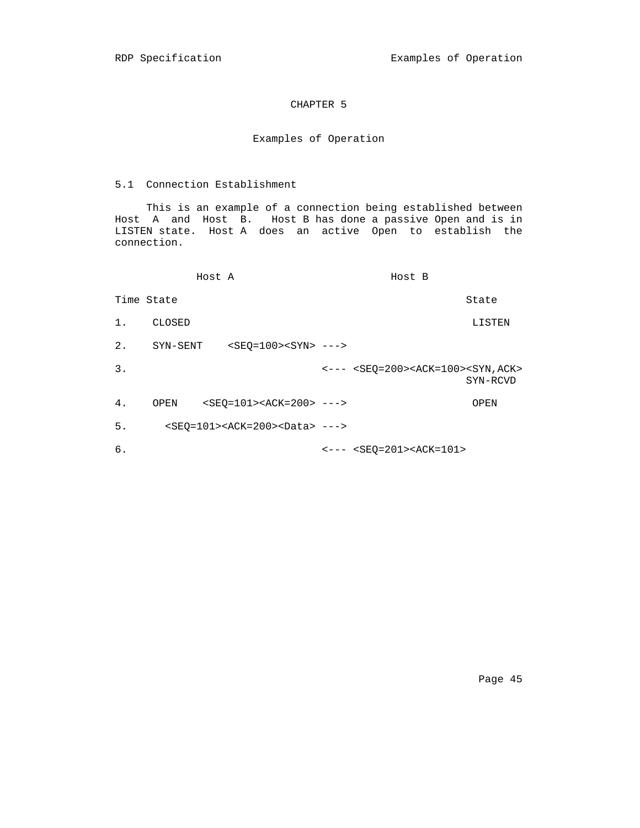# CHAPTER 5

# Examples of Operation

## 5.1 Connection Establishment

 This is an example of a connection being established between Host A and Host B. Host B has done a passive Open and is in LISTEN state. Host A does an active Open to establish the connection.

|            |          | Host A                                                | Host B                                                                    |          |
|------------|----------|-------------------------------------------------------|---------------------------------------------------------------------------|----------|
| Time State |          |                                                       |                                                                           | State    |
| 1.         | CLOSED   |                                                       |                                                                           | LISTEN   |
| $2$ .      | SYN-SENT | $$ --->                                               |                                                                           |          |
| 3.         |          |                                                       | $\leftarrow--$ <seo=200><ack=100><syn, ack=""></syn,></ack=100></seo=200> | SYN-RCVD |
| 4.         | OPEN     | $ >  > ---$                                           |                                                                           | OPEN     |
| 5.         |          | $<$ SEO=101> <ack=200><data> ---&gt;</data></ack=200> |                                                                           |          |
| б.         |          |                                                       | $\leftarrow$ --- $\leftarrow$ SEQ=201> <ack=101></ack=101>                |          |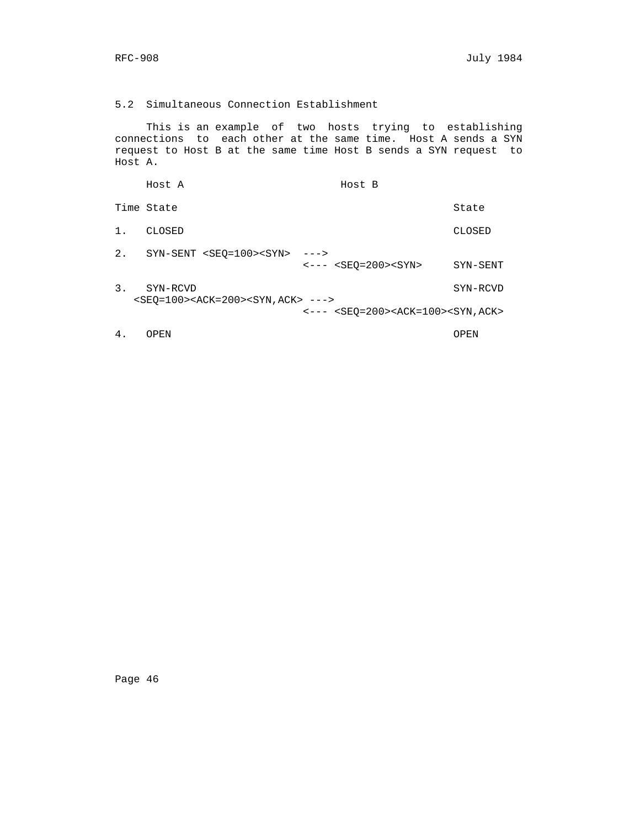## 5.2 Simultaneous Connection Establishment

 This is an example of two hosts trying to establishing connections to each other at the same time. Host A sends a SYN request to Host B at the same time Host B sends a SYN request to Host A.

 Host A Host B Time State State State State State State State State State State State State State State State State State State State State State State State State State State State State State State State State State State State State S 1. CLOSED CLOSED 2. SYN-SENT <SEQ=100><SYN> ---> <--- <SEQ=200><SYN> SYN-SENT 3. SYN-RCVD SYN-RCVD <SEQ=100><ACK=200><SYN,ACK> ---> <--- <SEQ=200><ACK=100><SYN,ACK> 4. OPEN OPEN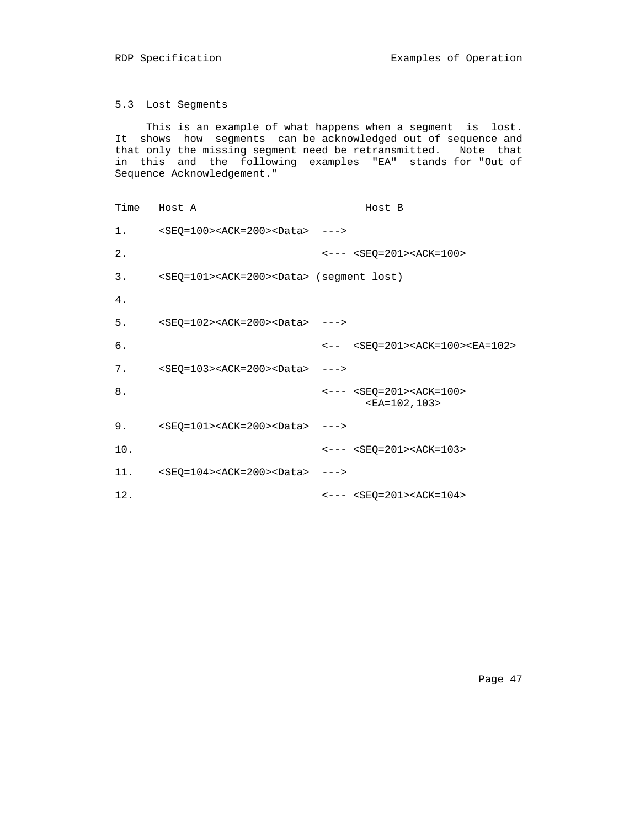5.3 Lost Segments

 This is an example of what happens when a segment is lost. It shows how segments can be acknowledged out of sequence and that only the missing segment need be retransmitted. Note that in this and the following examples "EA" stands for "Out of Sequence Acknowledgement."

```
Time Host A Host B
 1. <SEQ=100><ACK=200><Data> --->
2. \leftarrow - - \leftarrow \text{SEQ=201}> \text{ACK=100}> 3. <SEQ=101><ACK=200><Data> (segment lost)
 4.
5. <SEQ=102><ACK=200><Data> --->
6. <-8EQ=201><ACK=100><EA=102>
7. <SEQ=103><ACK=200><Data> --->
8. \leftarrow - - \leftarrow \text{SEQ=201}> \text{ACK=100}> <EA=102,103>
 9. <SEQ=101><ACK=200><Data> --->
10. \leftarrow - - \left\langle \text{SEQ=201}\right\rangle \left\langle \text{ACK=103}\right\rangle 11. <SEQ=104><ACK=200><Data> --->
 12. <--- <SEQ=201><ACK=104>
```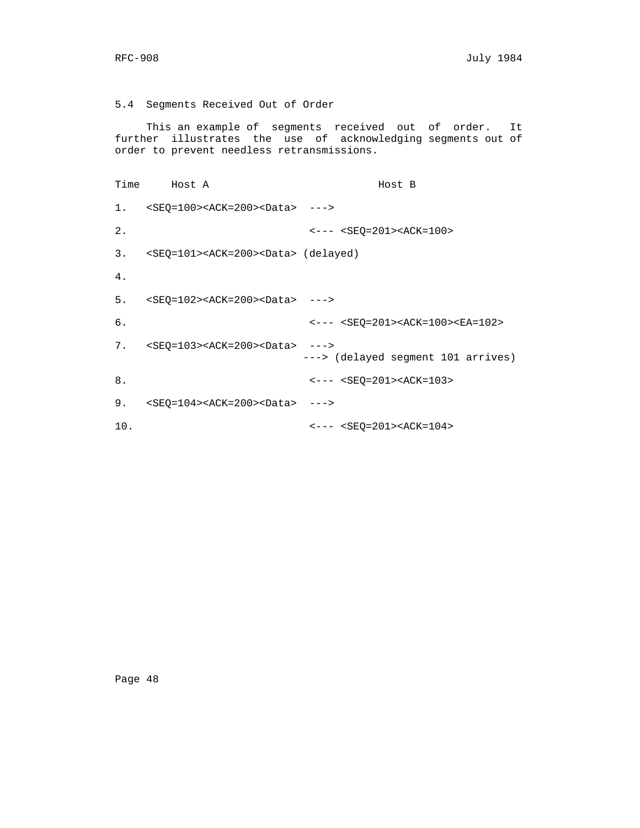## 5.4 Segments Received Out of Order

 This an example of segments received out of order. It further illustrates the use of acknowledging segments out of order to prevent needless retransmissions.

Time Host A **Host B**  1. <SEQ=100><ACK=200><Data> ---> 2.  $\leftarrow - - \leftarrow \text{SEQ=201}> \text{ACK=100}>$  3. <SEQ=101><ACK=200><Data> (delayed) 4. 5. <SEQ=102><ACK=200><Data> ---> 6. <--- <SEQ=201><ACK=100><EA=102> 7. <SEQ=103><ACK=200><Data> ---> ---> (delayed segment 101 arrives) 8.  $\leftarrow$  ---  $\text{SEQ}=201$  ><ACK=103> 9. <SEQ=104><ACK=200><Data> ---> 10.  $\langle - - - \langle \text{SEQ=201}\rangle \langle \text{ACK=104}\rangle$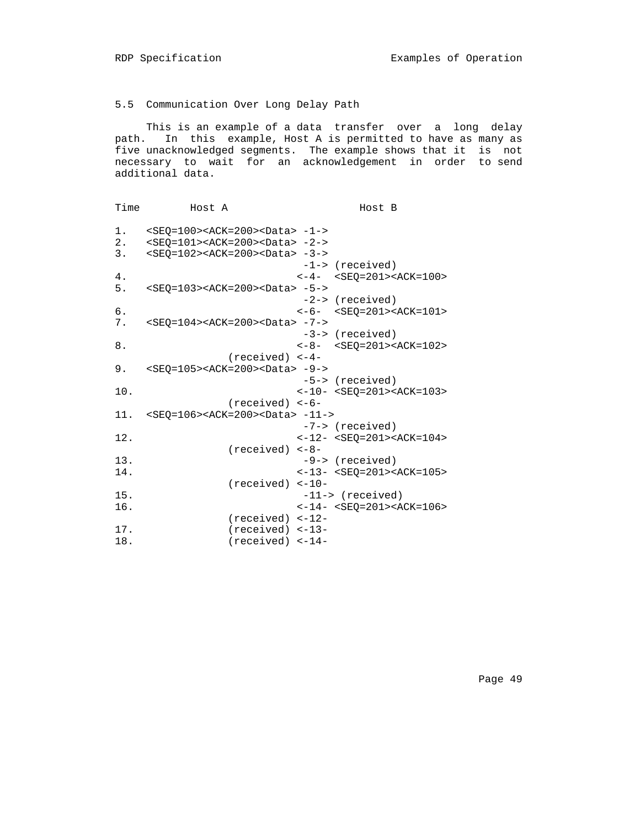# 5.5 Communication Over Long Delay Path

 This is an example of a data transfer over a long delay path. In this example, Host A is permitted to have as many as five unacknowledged segments. The example shows that it is not necessary to wait for an acknowledgement in order to send additional data.

| Time     | Host A                                                                                                                                                                                         | Host B                                                            |
|----------|------------------------------------------------------------------------------------------------------------------------------------------------------------------------------------------------|-------------------------------------------------------------------|
| 1.<br>3. | <se0=100><ack=200><data> -1-&gt;<br/>2. <seo=101><ack=200><data> -2-&gt;<br/><seq=102><ack=200><data> -3-&gt;</data></ack=200></seq=102></data></ack=200></seo=101></data></ack=200></se0=100> |                                                                   |
|          |                                                                                                                                                                                                | -1-> (received)                                                   |
| 4.       |                                                                                                                                                                                                | $<-4-<$ SEQ=201> <ack=100></ack=100>                              |
| 5.       | $<$ SEQ=103> <ack=200><data> -5-&gt;</data></ack=200>                                                                                                                                          |                                                                   |
|          |                                                                                                                                                                                                | $-2->$ (received)                                                 |
| 6.       |                                                                                                                                                                                                | $<-6- <$ $<$ SEQ=201> <ack=101></ack=101>                         |
| 7.       | <seq=104><ack=200><data> -7-&gt;</data></ack=200></seq=104>                                                                                                                                    |                                                                   |
|          |                                                                                                                                                                                                | -3-> (received)                                                   |
| 8.       |                                                                                                                                                                                                | $<-8-<$ SEQ=201> <ack=102></ack=102>                              |
| 9.       | $(received) < -4-$<br>$ > < ACK = 200 > < Data > -9->$                                                                                                                                         |                                                                   |
|          |                                                                                                                                                                                                | -5-> (received)                                                   |
| 10.      |                                                                                                                                                                                                | $<-10- $                                                          |
|          | $(received) < -6$ -                                                                                                                                                                            |                                                                   |
|          | 11. <seq=106><ack=200><data> -11-&gt;</data></ack=200></seq=106>                                                                                                                               |                                                                   |
|          |                                                                                                                                                                                                | -7-> (received)                                                   |
| 12.      |                                                                                                                                                                                                | $<-12- <\nSEQ=201><\nACK=104>$                                    |
| 13.      | $(received) < -8$ -                                                                                                                                                                            |                                                                   |
| 14.      |                                                                                                                                                                                                | -9-> (received)<br>$<-13-$ <seq=201><ack=105></ack=105></seq=201> |
|          | $(received)$ <-10-                                                                                                                                                                             |                                                                   |
| 15.      |                                                                                                                                                                                                | -11-> (received)                                                  |
| 16.      |                                                                                                                                                                                                | $<-14-<$ SEO=201> <ack=106></ack=106>                             |
|          | $(received) < -12-$                                                                                                                                                                            |                                                                   |
| 17.      | $(received)$ <-13-                                                                                                                                                                             |                                                                   |
| 18.      | $(received)$ <-14-                                                                                                                                                                             |                                                                   |
|          |                                                                                                                                                                                                |                                                                   |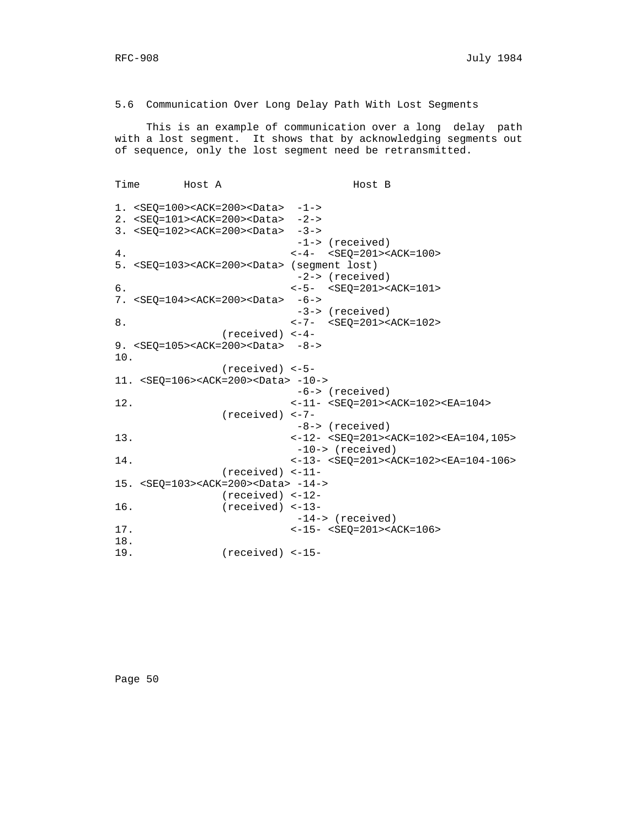5.6 Communication Over Long Delay Path With Lost Segments

 This is an example of communication over a long delay path with a lost segment. It shows that by acknowledging segments out of sequence, only the lost segment need be retransmitted.

```
Time Host A Host B
 1. <SEQ=100><ACK=200><Data> -1->
 2. <SEQ=101><ACK=200><Data> -2->
 3. <SEQ=102><ACK=200><Data> -3->
                        -1-> (received)
4. <-4- <SEQ=201><ACK=100>
 5. <SEQ=103><ACK=200><Data> (segment lost)
                        -2-> (received)
 6. <-5- <SEQ=201><ACK=101>
7. <SEQ=104><ACK=200><Data> -6->
                        -3-> (received)
8. <-7- <SEQ=201><ACK=102>
              (received) <-4-
9. <SEQ=105><ACK=200><Data> -8->
 10.
              (received) <-5-
 11. <SEQ=106><ACK=200><Data> -10->
                        -6-> (received)
12. <-11- <SEQ=201><ACK=102><EA=104>
              (received) <-7-
                        -8-> (received)
13. <-12- <SEQ=201><ACK=102><EA=104,105>
                        -10-> (received)
14. <-13- <SEQ=201><ACK=102><EA=104-106>
              (received) <-11-
 15. <SEQ=103><ACK=200><Data> -14->
              (received) <-12-
 16. (received) <-13-
                        -14-> (received)
17. <-15- <SEQ=201><ACK=106>
 18.
 19. (received) <-15-
```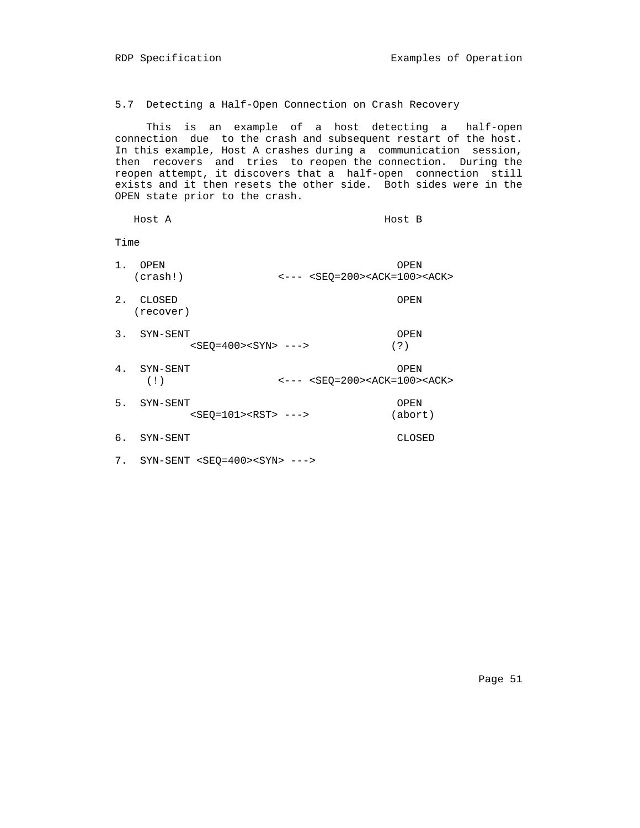5.7 Detecting a Half-Open Connection on Crash Recovery

 This is an example of a host detecting a half-open connection due to the crash and subsequent restart of the host. In this example, Host A crashes during a communication session, then recovers and tries to reopen the connection. During the reopen attempt, it discovers that a half-open connection still exists and it then resets the other side. Both sides were in the OPEN state prior to the crash.

|      | Host A                     |                                                                            | Host B          |
|------|----------------------------|----------------------------------------------------------------------------|-----------------|
| Time |                            |                                                                            |                 |
| 1.   | OPEN<br>(crash!)           | $\left  2 - - - \right $ <seq=200><ack=100><ack></ack></ack=100></seq=200> | OPEN            |
| 2.   | CLOSED<br>(recover)        |                                                                            | OPEN            |
| 3.   | SYN-SENT<br>$$ --->        |                                                                            | OPEN<br>( ? )   |
| 4.   | SYN-SENT<br>(1)            | $\leftarrow$ --- $\leftarrow$ SEQ=200> <ack=100><ack></ack></ack=100>      | OPEN            |
| 5.   | SYN-SENT<br>$$ --->        |                                                                            | OPEN<br>(abort) |
| б.   | SYN-SENT                   |                                                                            | CLOSED          |
| 7.   | $SYN-SENT < SEQ=400>$ ---> |                                                                            |                 |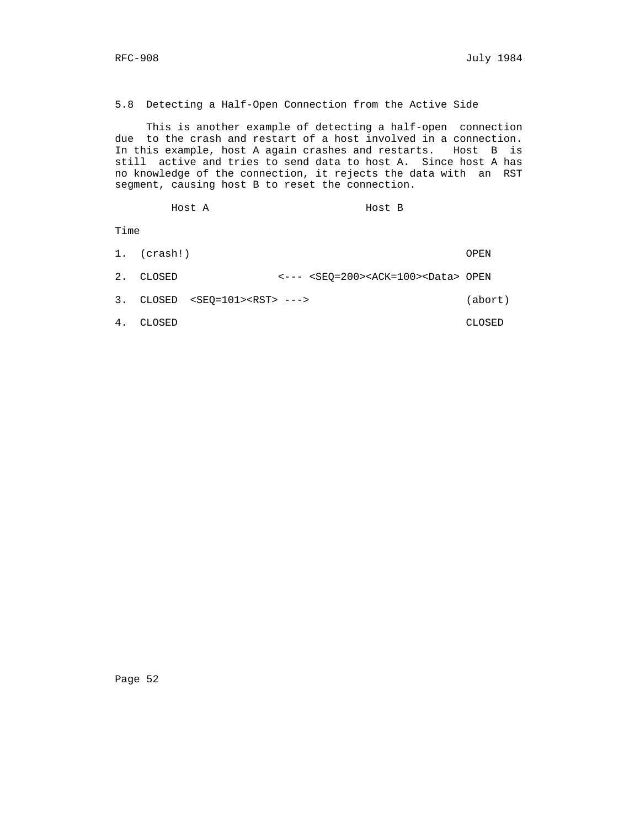5.8 Detecting a Half-Open Connection from the Active Side

 This is another example of detecting a half-open connection due to the crash and restart of a host involved in a connection. In this example, host A again crashes and restarts. Host B is still active and tries to send data to host A. Since host A has no knowledge of the connection, it rejects the data with an RST segment, causing host B to reset the connection.

Host A Host B

Time

|  | $1.$ (crash!) |                                                                           | OPEN    |
|--|---------------|---------------------------------------------------------------------------|---------|
|  | 2. CLOSED     | $\leftarrow$ --- <seo=200><ack=100><data> OPEN</data></ack=100></seo=200> |         |
|  |               | $3.$ CLOSED <seo=101><rst> ---&gt;</rst></seo=101>                        | (abort) |
|  | CLOSED        |                                                                           | CLOSED. |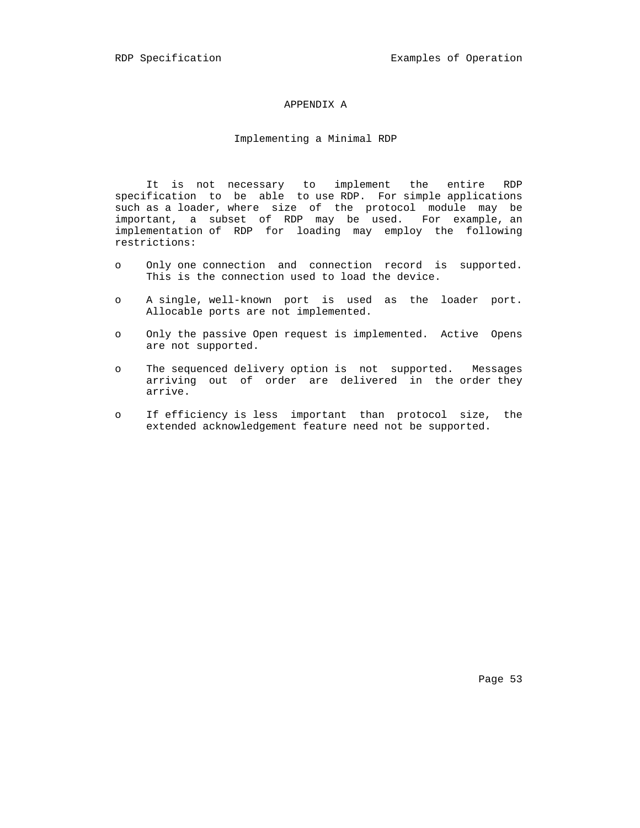## APPENDIX A

## Implementing a Minimal RDP

 It is not necessary to implement the entire RDP specification to be able to use RDP. For simple applications such as a loader, where size of the protocol module may be important, a subset of RDP may be used. For example, an implementation of RDP for loading may employ the following restrictions:

- o Only one connection and connection record is supported. This is the connection used to load the device.
- o A single, well-known port is used as the loader port. Allocable ports are not implemented.
- o Only the passive Open request is implemented. Active Opens are not supported.
- o The sequenced delivery option is not supported. Messages arriving out of order are delivered in the order they arrive.
- o If efficiency is less important than protocol size, the extended acknowledgement feature need not be supported.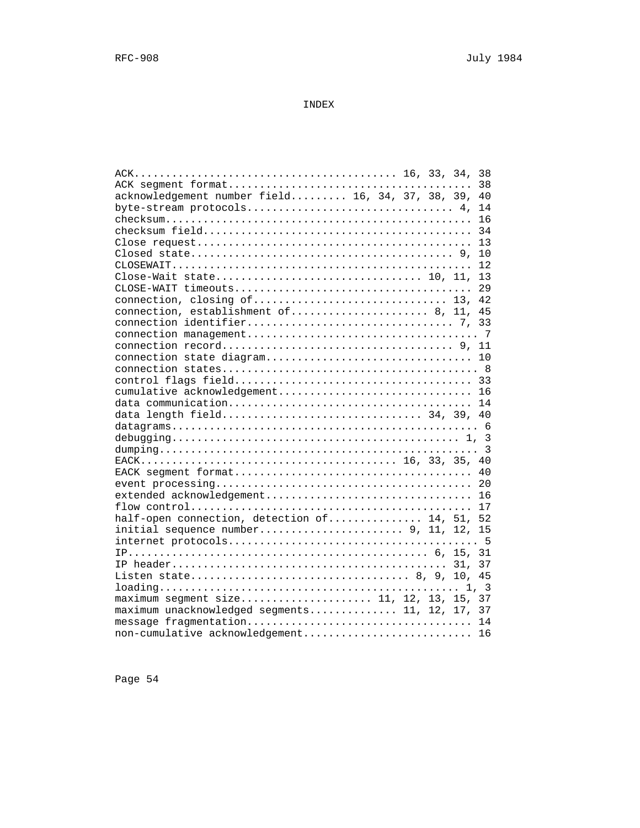INDEX

|                                                  |  | 38  |
|--------------------------------------------------|--|-----|
| acknowledgement number field 16, 34, 37, 38, 39, |  | 40  |
|                                                  |  |     |
|                                                  |  |     |
|                                                  |  |     |
|                                                  |  | 13  |
|                                                  |  |     |
|                                                  |  | 12  |
|                                                  |  |     |
|                                                  |  | 2.9 |
|                                                  |  |     |
| connection, establishment of 8, 11, 45           |  |     |
|                                                  |  |     |
|                                                  |  |     |
|                                                  |  |     |
|                                                  |  |     |
|                                                  |  |     |
|                                                  |  |     |
| cumulative acknowledgement 16                    |  |     |
|                                                  |  |     |
|                                                  |  |     |
|                                                  |  |     |
|                                                  |  |     |
|                                                  |  |     |
|                                                  |  |     |
|                                                  |  |     |
|                                                  |  |     |
|                                                  |  |     |
|                                                  |  |     |
| half-open connection, detection of 14, 51, 52    |  |     |
| initial sequence number 9, 11, 12, 15            |  |     |
|                                                  |  |     |
|                                                  |  |     |
|                                                  |  |     |
|                                                  |  |     |
|                                                  |  |     |
|                                                  |  |     |
| maximum unacknowledged segments 11, 12, 17, 37   |  |     |
|                                                  |  |     |
| non-cumulative acknowledgement 16                |  |     |
|                                                  |  |     |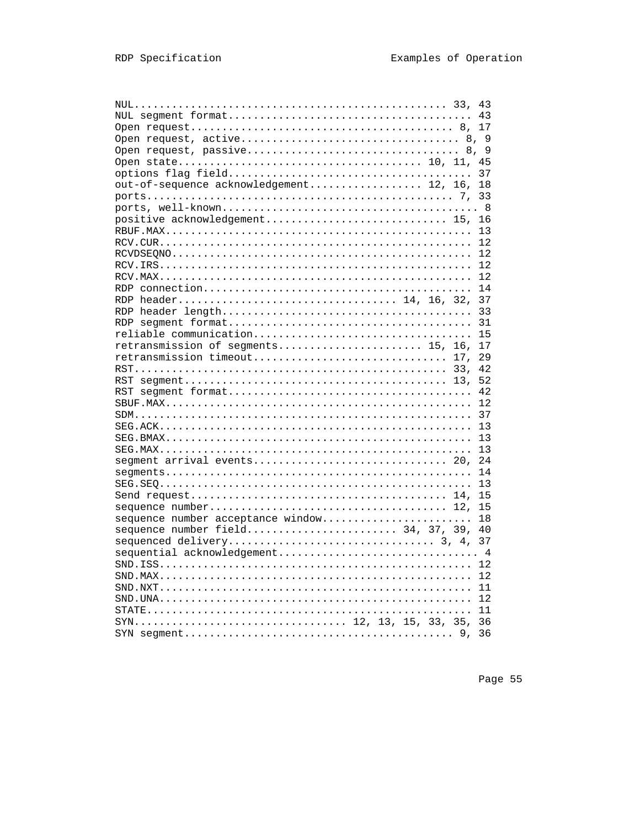|                                         |  |  |     | 43 |
|-----------------------------------------|--|--|-----|----|
|                                         |  |  |     | 43 |
|                                         |  |  |     | 17 |
|                                         |  |  |     |    |
|                                         |  |  |     |    |
|                                         |  |  |     | 45 |
|                                         |  |  |     | 37 |
| out-of-sequence acknowledgement 12, 16, |  |  |     | 18 |
|                                         |  |  |     | 33 |
|                                         |  |  |     |    |
|                                         |  |  |     | 16 |
|                                         |  |  |     | 13 |
|                                         |  |  |     | 12 |
|                                         |  |  |     | 12 |
|                                         |  |  |     | 12 |
|                                         |  |  |     | 12 |
|                                         |  |  |     | 14 |
| RDP header 14, 16, 32,                  |  |  |     | 37 |
|                                         |  |  |     |    |
|                                         |  |  |     | 33 |
|                                         |  |  |     | 31 |
| reliable communication                  |  |  |     | 15 |
| retransmission of segments 15, 16,      |  |  |     | 17 |
| retransmission timeout                  |  |  | 17. | 29 |
|                                         |  |  |     | 42 |
|                                         |  |  |     | 52 |
|                                         |  |  |     | 42 |
|                                         |  |  |     | 12 |
|                                         |  |  |     | 37 |
|                                         |  |  |     | 13 |
|                                         |  |  |     | 13 |
|                                         |  |  |     | 13 |
| segment arrival events 20,              |  |  |     | 24 |
|                                         |  |  |     | 14 |
|                                         |  |  |     | 13 |
|                                         |  |  |     | 15 |
|                                         |  |  |     | 15 |
| sequence number acceptance window       |  |  |     | 18 |
| sequence number field 34, 37, 39,       |  |  |     | 40 |
|                                         |  |  |     | 37 |
| sequential acknowledgement 4            |  |  |     |    |
|                                         |  |  |     | 12 |
|                                         |  |  |     |    |
|                                         |  |  |     | 12 |
|                                         |  |  |     | 11 |
|                                         |  |  |     | 12 |
|                                         |  |  |     | 11 |
| SYN 12, 13, 15, 33, 35,                 |  |  |     | 36 |
|                                         |  |  | 9,  | 36 |